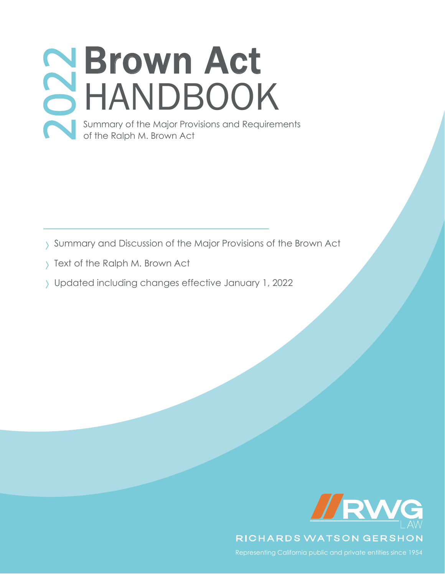### Summary of the Major Provisions and Requirements of the Ralph M. Brown Act **Brown Act S** HANDBOOK  $\sim$ NĪ  $\sim$

- Summary and Discussion of the Major Provisions of the Brown Act
- y Text of the Ralph M. Brown Act
- y Updated including changes effective January 1, 2022

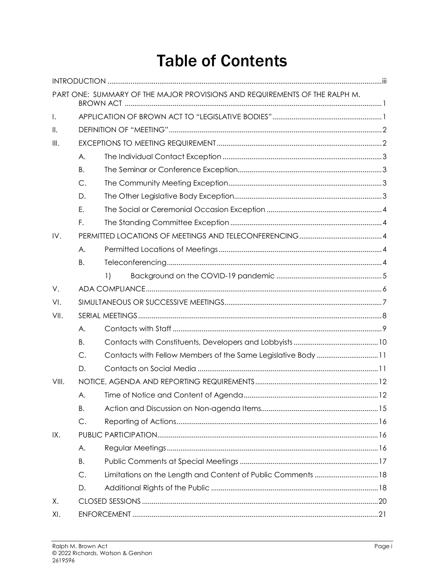# **Table of Contents**

|                |    | PART ONE: SUMMARY OF THE MAJOR PROVISIONS AND REQUIREMENTS OF THE RALPH M. |  |
|----------------|----|----------------------------------------------------------------------------|--|
| $\mathsf{I}$ . |    |                                                                            |  |
| II.            |    |                                                                            |  |
| III.           |    |                                                                            |  |
|                | Α. |                                                                            |  |
|                | Β. |                                                                            |  |
|                | C. |                                                                            |  |
|                | D. |                                                                            |  |
|                | Ε. |                                                                            |  |
|                | F. |                                                                            |  |
| IV.            |    |                                                                            |  |
|                | A. |                                                                            |  |
|                | B. |                                                                            |  |
|                |    | $\left  \right $                                                           |  |
| V.             |    |                                                                            |  |
| VI.            |    |                                                                            |  |
| VII.           |    |                                                                            |  |
|                | А. |                                                                            |  |
|                | B. |                                                                            |  |
|                | C. | Contacts with Fellow Members of the Same Legislative Body 11               |  |
|                | D. |                                                                            |  |
| VIII.          |    |                                                                            |  |
|                | Α. |                                                                            |  |
|                | B. |                                                                            |  |
|                | С. |                                                                            |  |
| IX.            |    |                                                                            |  |
|                | А. |                                                                            |  |
|                | Β. |                                                                            |  |
|                | C. | Limitations on the Length and Content of Public Comments  18               |  |
|                | D. |                                                                            |  |
| Х.             |    |                                                                            |  |
| XI.            |    |                                                                            |  |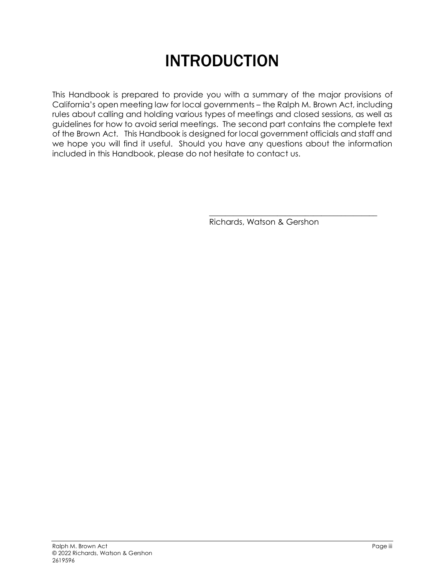# INTRODUCTION

This Handbook is prepared to provide you with a summary of the major provisions of California's open meeting law for local governments – the Ralph M. Brown Act, including rules about calling and holding various types of meetings and closed sessions, as well as guidelines for how to avoid serial meetings. The second part contains the complete text of the Brown Act. This Handbook is designed for local government officials and staff and we hope you will find it useful. Should you have any questions about the information included in this Handbook, please do not hesitate to contact us.

Richards, Watson & Gershon

\_\_\_\_\_\_\_\_\_\_\_\_\_\_\_\_\_\_\_\_\_\_\_\_\_\_\_\_\_\_\_\_\_\_\_\_\_\_\_\_\_\_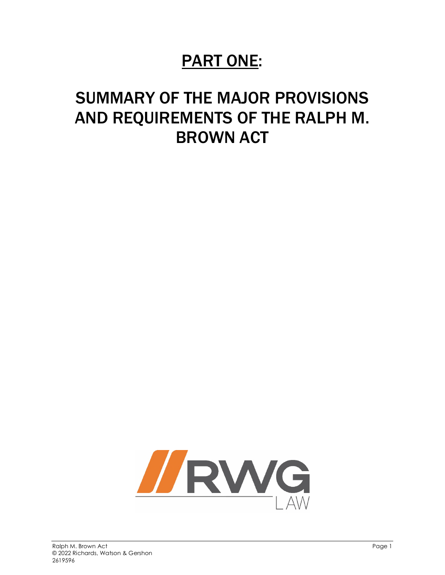## PART ONE:

## SUMMARY OF THE MAJOR PROVISIONS AND REQUIREMENTS OF THE RALPH M. BROWN ACT

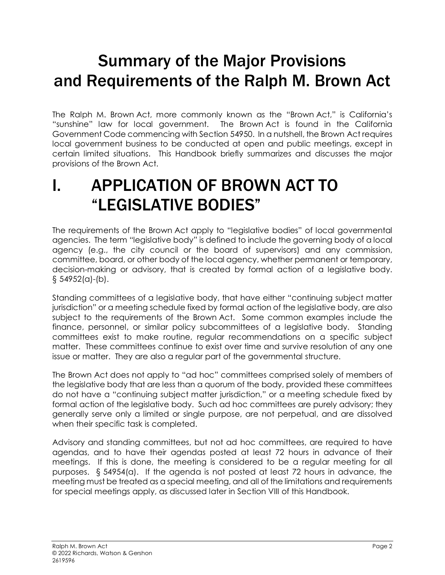## Summary of the Major Provisions and Requirements of the Ralph M. Brown Act

The Ralph M. Brown Act, more commonly known as the "Brown Act," is California's "sunshine" law for local government. The Brown Act is found in the California Government Code commencing with Section 54950. In a nutshell, the Brown Act requires local government business to be conducted at open and public meetings, except in certain limited situations. This Handbook briefly summarizes and discusses the major provisions of the Brown Act.

## I. APPLICATION OF BROWN ACT TO "LEGISLATIVE BODIES"

The requirements of the Brown Act apply to "legislative bodies" of local governmental agencies. The term "legislative body" is defined to include the governing body of a local agency (e.g., the city council or the board of supervisors) and any commission, committee, board, or other body of the local agency, whether permanent or temporary, decision-making or advisory, that is created by formal action of a legislative body. § 54952(a)-(b).

Standing committees of a legislative body, that have either "continuing subject matter jurisdiction" or a meeting schedule fixed by formal action of the legislative body, are also subject to the requirements of the Brown Act. Some common examples include the finance, personnel, or similar policy subcommittees of a legislative body. Standing committees exist to make routine, regular recommendations on a specific subject matter. These committees continue to exist over time and survive resolution of any one issue or matter. They are also a regular part of the governmental structure.

The Brown Act does not apply to "ad hoc" committees comprised solely of members of the legislative body that are less than a quorum of the body, provided these committees do not have a "continuing subject matter jurisdiction," or a meeting schedule fixed by formal action of the legislative body. Such ad hoc committees are purely advisory; they generally serve only a limited or single purpose, are not perpetual, and are dissolved when their specific task is completed.

Advisory and standing committees, but not ad hoc committees, are required to have agendas, and to have their agendas posted at least 72 hours in advance of their meetings. If this is done, the meeting is considered to be a regular meeting for all purposes. § 54954(a). If the agenda is not posted at least 72 hours in advance, the meeting must be treated as a special meeting, and all of the limitations and requirements for special meetings apply, as discussed later in Section VIII of this Handbook.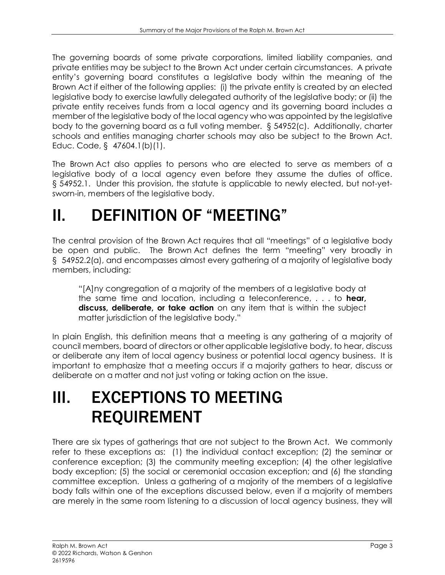The governing boards of some private corporations, limited liability companies, and private entities may be subject to the Brown Act under certain circumstances. A private entity's governing board constitutes a legislative body within the meaning of the Brown Act if either of the following applies: (i) the private entity is created by an elected legislative body to exercise lawfully delegated authority of the legislative body; or (ii) the private entity receives funds from a local agency and its governing board includes a member of the legislative body of the local agency who was appointed by the legislative body to the governing board as a full voting member. § 54952(c). Additionally, charter schools and entities managing charter schools may also be subject to the Brown Act. Educ. Code, § 47604.1(b)(1).

The Brown Act also applies to persons who are elected to serve as members of a legislative body of a local agency even before they assume the duties of office. § 54952.1. Under this provision, the statute is applicable to newly elected, but not-yetsworn-in, members of the legislative body.

# II. DEFINITION OF "MEETING"

The central provision of the Brown Act requires that all "meetings" of a legislative body be open and public. The Brown Act defines the term "meeting" very broadly in § 54952.2(a), and encompasses almost every gathering of a majority of legislative body members, including:

"[A]ny congregation of a majority of the members of a legislative body at the same time and location, including a teleconference, . . . to **hear, discuss, deliberate, or take action** on any item that is within the subject matter jurisdiction of the legislative body."

In plain English, this definition means that a meeting is any gathering of a majority of council members, board of directors or other applicable legislative body, to hear, discuss or deliberate any item of local agency business or potential local agency business. It is important to emphasize that a meeting occurs if a majority gathers to hear, discuss or deliberate on a matter and not just voting or taking action on the issue.

## III. EXCEPTIONS TO MEETING REQUIREMENT

There are six types of gatherings that are not subject to the Brown Act. We commonly refer to these exceptions as: (1) the individual contact exception; (2) the seminar or conference exception; (3) the community meeting exception; (4) the other legislative body exception; (5) the social or ceremonial occasion exception; and (6) the standing committee exception. Unless a gathering of a majority of the members of a legislative body falls within one of the exceptions discussed below, even if a majority of members are merely in the same room listening to a discussion of local agency business, they will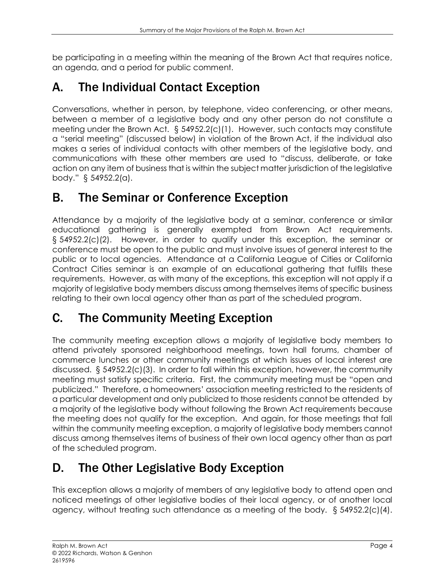be participating in a meeting within the meaning of the Brown Act that requires notice, an agenda, and a period for public comment.

## A. The Individual Contact Exception

Conversations, whether in person, by telephone, video conferencing, or other means, between a member of a legislative body and any other person do not constitute a meeting under the Brown Act.  $\S 54952.2(c)(1)$ . However, such contacts may constitute a "serial meeting" (discussed below) in violation of the Brown Act, if the individual also makes a series of individual contacts with other members of the legislative body, and communications with these other members are used to "discuss, deliberate, or take action on any item of business that is within the subject matter jurisdiction of the legislative body." § 54952.2(a).

### B. The Seminar or Conference Exception

Attendance by a majority of the legislative body at a seminar, conference or similar educational gathering is generally exempted from Brown Act requirements. § 54952.2(c)(2). However, in order to qualify under this exception, the seminar or conference must be open to the public and must involve issues of general interest to the public or to local agencies. Attendance at a California League of Cities or California Contract Cities seminar is an example of an educational gathering that fulfills these requirements. However, as with many of the exceptions, this exception will not apply if a majority of legislative body members discuss among themselves items of specific business relating to their own local agency other than as part of the scheduled program.

## C. The Community Meeting Exception

The community meeting exception allows a majority of legislative body members to attend privately sponsored neighborhood meetings, town hall forums, chamber of commerce lunches or other community meetings at which issues of local interest are discussed. § 54952.2(c)(3). In order to fall within this exception, however, the community meeting must satisfy specific criteria. First, the community meeting must be "open and publicized." Therefore, a homeowners' association meeting restricted to the residents of a particular development and only publicized to those residents cannot be attended by a majority of the legislative body without following the Brown Act requirements because the meeting does not qualify for the exception. And again, for those meetings that fall within the community meeting exception, a majority of legislative body members cannot discuss among themselves items of business of their own local agency other than as part of the scheduled program.

## D. The Other Legislative Body Exception

This exception allows a majority of members of any legislative body to attend open and noticed meetings of other legislative bodies of their local agency, or of another local agency, without treating such attendance as a meeting of the body. § 54952.2(c)(4).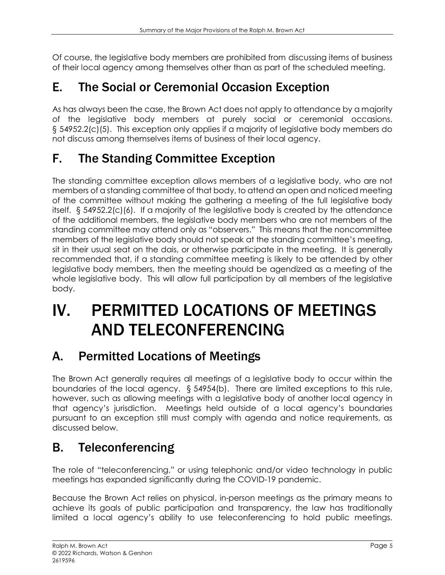Of course, the legislative body members are prohibited from discussing items of business of their local agency among themselves other than as part of the scheduled meeting.

## E. The Social or Ceremonial Occasion Exception

As has always been the case, the Brown Act does not apply to attendance by a majority of the legislative body members at purely social or ceremonial occasions. § 54952.2(c)(5). This exception only applies if a majority of legislative body members do not discuss among themselves items of business of their local agency.

## F. The Standing Committee Exception

The standing committee exception allows members of a legislative body, who are not members of a standing committee of that body, to attend an open and noticed meeting of the committee without making the gathering a meeting of the full legislative body itself. § 54952.2(c)(6). If a majority of the legislative body is created by the attendance of the additional members, the legislative body members who are not members of the standing committee may attend only as "observers." This means that the noncommittee members of the legislative body should not speak at the standing committee's meeting, sit in their usual seat on the dais, or otherwise participate in the meeting. It is generally recommended that, if a standing committee meeting is likely to be attended by other legislative body members, then the meeting should be agendized as a meeting of the whole legislative body. This will allow full participation by all members of the legislative body.

# IV. PERMITTED LOCATIONS OF MEETINGS AND TELECONFERENCING

## A. Permitted Locations of Meetings

The Brown Act generally requires all meetings of a legislative body to occur within the boundaries of the local agency. § 54954(b). There are limited exceptions to this rule, however, such as allowing meetings with a legislative body of another local agency in that agency's jurisdiction. Meetings held outside of a local agency's boundaries pursuant to an exception still must comply with agenda and notice requirements, as discussed below.

## B. Teleconferencing

The role of "teleconferencing," or using telephonic and/or video technology in public meetings has expanded significantly during the COVID-19 pandemic.

Because the Brown Act relies on physical, in-person meetings as the primary means to achieve its goals of public participation and transparency, the law has traditionally limited a local agency's ability to use teleconferencing to hold public meetings.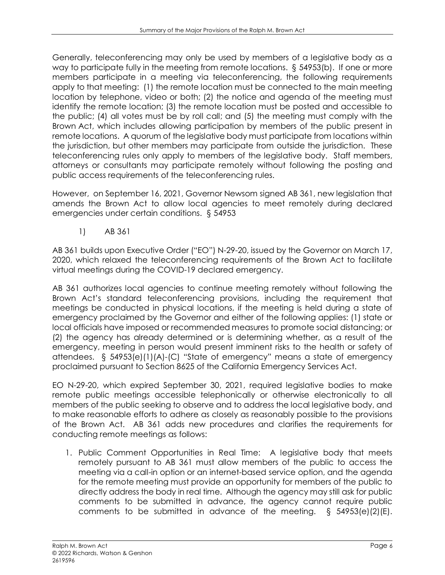Generally, teleconferencing may only be used by members of a legislative body as a way to participate fully in the meeting from remote locations. § 54953(b). If one or more members participate in a meeting via teleconferencing, the following requirements apply to that meeting: (1) the remote location must be connected to the main meeting location by telephone, video or both; (2) the notice and agenda of the meeting must identify the remote location; (3) the remote location must be posted and accessible to the public; (4) all votes must be by roll call; and (5) the meeting must comply with the Brown Act, which includes allowing participation by members of the public present in remote locations. A quorum of the legislative body must participate from locations within the jurisdiction, but other members may participate from outside the jurisdiction. These teleconferencing rules only apply to members of the legislative body. Staff members, attorneys or consultants may participate remotely without following the posting and public access requirements of the teleconferencing rules.

However, on September 16, 2021, Governor Newsom signed AB 361, new legislation that amends the Brown Act to allow local agencies to meet remotely during declared emergencies under certain conditions. § 54953

1) AB 361

AB 361 builds upon Executive Order ("EO") N-29-20, issued by the Governor on March 17, 2020, which relaxed the teleconferencing requirements of the Brown Act to facilitate virtual meetings during the COVID-19 declared emergency.

AB 361 authorizes local agencies to continue meeting remotely without following the Brown Act's standard teleconferencing provisions, including the requirement that meetings be conducted in physical locations, if the meeting is held during a state of emergency proclaimed by the Governor and either of the following applies: (1) state or local officials have imposed or recommended measures to promote social distancing; or (2) the agency has already determined or is determining whether, as a result of the emergency, meeting in person would present imminent risks to the health or safety of attendees. § 54953(e)(1)(A)-(C) "State of emergency" means a state of emergency proclaimed pursuant to Section 8625 of the California Emergency Services Act.

EO N-29-20, which expired September 30, 2021, required legislative bodies to make remote public meetings accessible telephonically or otherwise electronically to all members of the public seeking to observe and to address the local legislative body, and to make reasonable efforts to adhere as closely as reasonably possible to the provisions of the Brown Act. AB 361 adds new procedures and clarifies the requirements for conducting remote meetings as follows:

1. Public Comment Opportunities in Real Time: A legislative body that meets remotely pursuant to AB 361 must allow members of the public to access the meeting via a call-in option or an internet-based service option, and the agenda for the remote meeting must provide an opportunity for members of the public to directly address the body in real time. Although the agency may still ask for public comments to be submitted in advance, the agency cannot require public comments to be submitted in advance of the meeting. § 54953(e)(2)(E).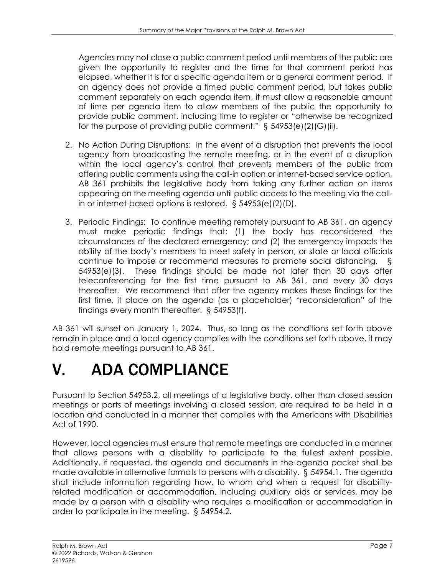Agencies may not close a public comment period until members of the public are given the opportunity to register and the time for that comment period has elapsed, whether it is for a specific agenda item or a general comment period. If an agency does not provide a timed public comment period, but takes public comment separately on each agenda item, it must allow a reasonable amount of time per agenda item to allow members of the public the opportunity to provide public comment, including time to register or "otherwise be recognized for the purpose of providing public comment."  $\S$  54953(e)(2)(G)(ii).

- 2. No Action During Disruptions: In the event of a disruption that prevents the local agency from broadcasting the remote meeting, or in the event of a disruption within the local agency's control that prevents members of the public from offering public comments using the call-in option or internet-based service option, AB 361 prohibits the legislative body from taking any further action on items appearing on the meeting agenda until public access to the meeting via the callin or internet-based options is restored. § 54953(e)(2)(D).
- 3. Periodic Findings: To continue meeting remotely pursuant to AB 361, an agency must make periodic findings that: (1) the body has reconsidered the circumstances of the declared emergency; and (2) the emergency impacts the ability of the body's members to meet safely in person, or state or local officials continue to impose or recommend measures to promote social distancing. 54953(e)(3). These findings should be made not later than 30 days after teleconferencing for the first time pursuant to AB 361, and every 30 days thereafter. We recommend that after the agency makes these findings for the first time, it place on the agenda (as a placeholder) "reconsideration" of the findings every month thereafter. § 54953(f).

AB 361 will sunset on January 1, 2024. Thus, so long as the conditions set forth above remain in place and a local agency complies with the conditions set forth above, it may hold remote meetings pursuant to AB 361.

# V. ADA COMPLIANCE

Pursuant to Section 54953.2, all meetings of a legislative body, other than closed session meetings or parts of meetings involving a closed session, are required to be held in a location and conducted in a manner that complies with the Americans with Disabilities Act of 1990.

However, local agencies must ensure that remote meetings are conducted in a manner that allows persons with a disability to participate to the fullest extent possible. Additionally, if requested, the agenda and documents in the agenda packet shall be made available in alternative formats to persons with a disability. § 54954.1. The agenda shall include information regarding how, to whom and when a request for disabilityrelated modification or accommodation, including auxiliary aids or services, may be made by a person with a disability who requires a modification or accommodation in order to participate in the meeting. § 54954.2.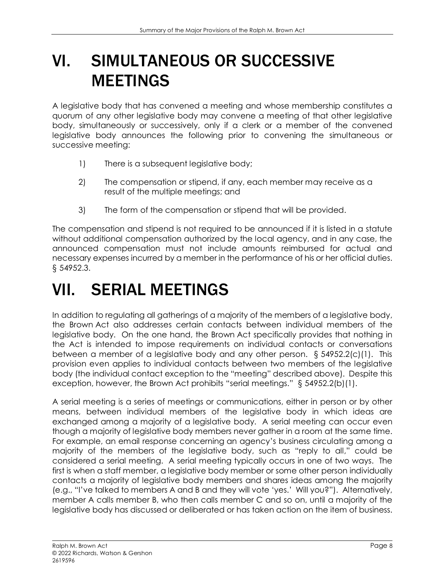## VI. SIMULTANEOUS OR SUCCESSIVE MEETINGS

A legislative body that has convened a meeting and whose membership constitutes a quorum of any other legislative body may convene a meeting of that other legislative body, simultaneously or successively, only if a clerk or a member of the convened legislative body announces the following prior to convening the simultaneous or successive meeting:

- 1) There is a subsequent legislative body;
- 2) The compensation or stipend, if any, each member may receive as a result of the multiple meetings; and
- 3) The form of the compensation or stipend that will be provided.

The compensation and stipend is not required to be announced if it is listed in a statute without additional compensation authorized by the local agency, and in any case, the announced compensation must not include amounts reimbursed for actual and necessary expenses incurred by a member in the performance of his or her official duties. § 54952.3.

# VII. SERIAL MEETINGS

In addition to regulating all gatherings of a majority of the members of a legislative body, the Brown Act also addresses certain contacts between individual members of the legislative body. On the one hand, the Brown Act specifically provides that nothing in the Act is intended to impose requirements on individual contacts or conversations between a member of a legislative body and any other person. § 54952.2(c)(1). This provision even applies to individual contacts between two members of the legislative body (the individual contact exception to the "meeting" described above). Despite this exception, however, the Brown Act prohibits "serial meetings." § 54952.2(b)(1).

A serial meeting is a series of meetings or communications, either in person or by other means, between individual members of the legislative body in which ideas are exchanged among a majority of a legislative body. A serial meeting can occur even though a majority of legislative body members never gather in a room at the same time. For example, an email response concerning an agency's business circulating among a majority of the members of the legislative body, such as "reply to all," could be considered a serial meeting. A serial meeting typically occurs in one of two ways. The first is when a staff member, a legislative body member or some other person individually contacts a majority of legislative body members and shares ideas among the majority (e.g., "I've talked to members A and B and they will vote 'yes.' Will you?"). Alternatively, member A calls member B, who then calls member C and so on, until a majority of the legislative body has discussed or deliberated or has taken action on the item of business.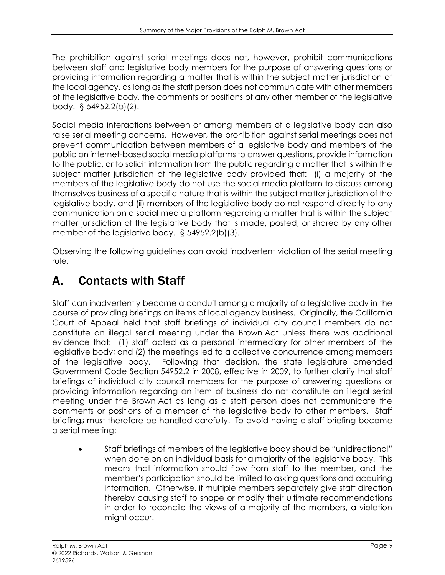The prohibition against serial meetings does not, however, prohibit communications between staff and legislative body members for the purpose of answering questions or providing information regarding a matter that is within the subject matter jurisdiction of the local agency, as long as the staff person does not communicate with other members of the legislative body, the comments or positions of any other member of the legislative body. § 54952.2(b)(2).

Social media interactions between or among members of a legislative body can also raise serial meeting concerns. However, the prohibition against serial meetings does not prevent communication between members of a legislative body and members of the public on internet-based social media platforms to answer questions, provide information to the public, or to solicit information from the public regarding a matter that is within the subject matter jurisdiction of the legislative body provided that: (i) a majority of the members of the legislative body do not use the social media platform to discuss among themselves business of a specific nature that is within the subject matter jurisdiction of the legislative body, and (ii) members of the legislative body do not respond directly to any communication on a social media platform regarding a matter that is within the subject matter jurisdiction of the legislative body that is made, posted, or shared by any other member of the legislative body. § 54952.2(b)(3).

Observing the following guidelines can avoid inadvertent violation of the serial meeting rule.

## A. Contacts with Staff

Staff can inadvertently become a conduit among a majority of a legislative body in the course of providing briefings on items of local agency business. Originally, the California Court of Appeal held that staff briefings of individual city council members do not constitute an illegal serial meeting under the Brown Act unless there was additional evidence that: (1) staff acted as a personal intermediary for other members of the legislative body; and (2) the meetings led to a collective concurrence among members of the legislative body. Following that decision, the state legislature amended Government Code Section 54952.2 in 2008, effective in 2009, to further clarify that staff briefings of individual city council members for the purpose of answering questions or providing information regarding an item of business do not constitute an illegal serial meeting under the Brown Act as long as a staff person does not communicate the comments or positions of a member of the legislative body to other members. Staff briefings must therefore be handled carefully. To avoid having a staff briefing become a serial meeting:

 Staff briefings of members of the legislative body should be "unidirectional" when done on an individual basis for a majority of the legislative body. This means that information should flow from staff to the member, and the member's participation should be limited to asking questions and acquiring information. Otherwise, if multiple members separately give staff direction thereby causing staff to shape or modify their ultimate recommendations in order to reconcile the views of a majority of the members, a violation might occur.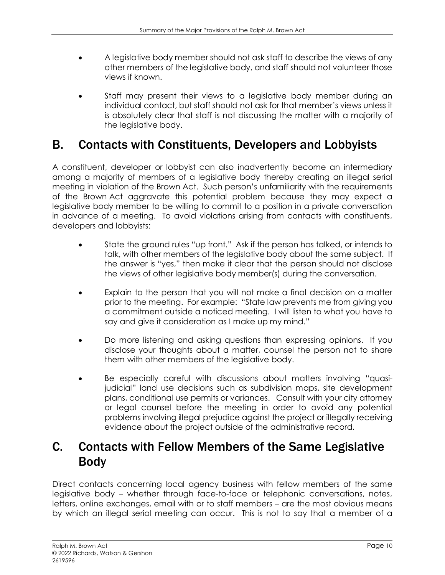- A legislative body member should not ask staff to describe the views of any other members of the legislative body, and staff should not volunteer those views if known.
- Staff may present their views to a legislative body member during an individual contact, but staff should not ask for that member's views unless it is absolutely clear that staff is not discussing the matter with a majority of the legislative body.

### B. Contacts with Constituents, Developers and Lobbyists

A constituent, developer or lobbyist can also inadvertently become an intermediary among a majority of members of a legislative body thereby creating an illegal serial meeting in violation of the Brown Act. Such person's unfamiliarity with the requirements of the Brown Act aggravate this potential problem because they may expect a legislative body member to be willing to commit to a position in a private conversation in advance of a meeting. To avoid violations arising from contacts with constituents, developers and lobbyists:

- State the ground rules "up front." Ask if the person has talked, or intends to talk, with other members of the legislative body about the same subject. If the answer is "yes," then make it clear that the person should not disclose the views of other legislative body member(s) during the conversation.
- Explain to the person that you will not make a final decision on a matter prior to the meeting. For example: "State law prevents me from giving you a commitment outside a noticed meeting. I will listen to what you have to say and give it consideration as I make up my mind."
- Do more listening and asking questions than expressing opinions. If you disclose your thoughts about a matter, counsel the person not to share them with other members of the legislative body.
- Be especially careful with discussions about matters involving "quasijudicial" land use decisions such as subdivision maps, site development plans, conditional use permits or variances. Consult with your city attorney or legal counsel before the meeting in order to avoid any potential problems involving illegal prejudice against the project or illegally receiving evidence about the project outside of the administrative record.

### C. Contacts with Fellow Members of the Same Legislative Body

Direct contacts concerning local agency business with fellow members of the same legislative body – whether through face-to-face or telephonic conversations, notes, letters, online exchanges, email with or to staff members – are the most obvious means by which an illegal serial meeting can occur. This is not to say that a member of a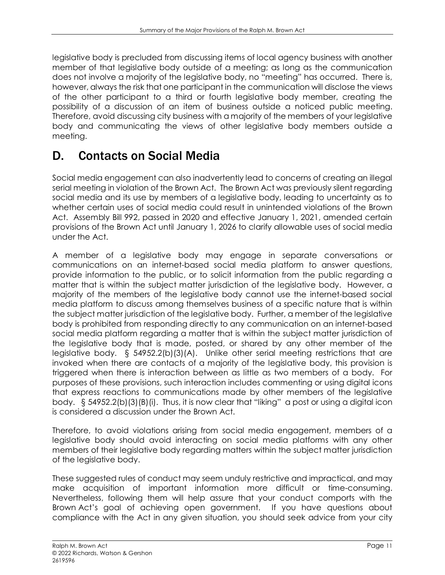legislative body is precluded from discussing items of local agency business with another member of that legislative body outside of a meeting; as long as the communication does not involve a majority of the legislative body, no "meeting" has occurred. There is, however, always the risk that one participant in the communication will disclose the views of the other participant to a third or fourth legislative body member, creating the possibility of a discussion of an item of business outside a noticed public meeting. Therefore, avoid discussing city business with a majority of the members of your legislative body and communicating the views of other legislative body members outside a meeting.

### D. Contacts on Social Media

Social media engagement can also inadvertently lead to concerns of creating an illegal serial meeting in violation of the Brown Act. The Brown Act was previously silent regarding social media and its use by members of a legislative body, leading to uncertainty as to whether certain uses of social media could result in unintended violations of the Brown Act. Assembly Bill 992, passed in 2020 and effective January 1, 2021, amended certain provisions of the Brown Act until January 1, 2026 to clarify allowable uses of social media under the Act.

A member of a legislative body may engage in separate conversations or communications on an internet-based social media platform to answer questions, provide information to the public, or to solicit information from the public regarding a matter that is within the subject matter jurisdiction of the legislative body. However, a majority of the members of the legislative body cannot use the internet-based social media platform to discuss among themselves business of a specific nature that is within the subject matter jurisdiction of the legislative body. Further, a member of the legislative body is prohibited from responding directly to any communication on an internet-based social media platform regarding a matter that is within the subject matter jurisdiction of the legislative body that is made, posted, or shared by any other member of the legislative body. § 54952.2(b)(3)(A). Unlike other serial meeting restrictions that are invoked when there are contacts of a majority of the legislative body, this provision is triggered when there is interaction between as little as two members of a body. For purposes of these provisions, such interaction includes commenting or using digital icons that express reactions to communications made by other members of the legislative body. § 54952.2(b)(3)(B)(i). Thus, it is now clear that "liking" a post or using a digital icon is considered a discussion under the Brown Act.

Therefore, to avoid violations arising from social media engagement, members of a legislative body should avoid interacting on social media platforms with any other members of their legislative body regarding matters within the subject matter jurisdiction of the legislative body.

These suggested rules of conduct may seem unduly restrictive and impractical, and may make acquisition of important information more difficult or time-consuming. Nevertheless, following them will help assure that your conduct comports with the Brown Act's goal of achieving open government. If you have questions about compliance with the Act in any given situation, you should seek advice from your city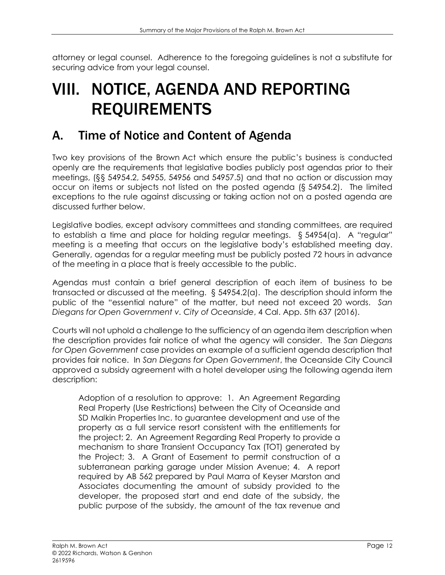attorney or legal counsel. Adherence to the foregoing guidelines is not a substitute for securing advice from your legal counsel.

# VIII. NOTICE, AGENDA AND REPORTING REQUIREMENTS

### A. Time of Notice and Content of Agenda

Two key provisions of the Brown Act which ensure the public's business is conducted openly are the requirements that legislative bodies publicly post agendas prior to their meetings, (§§ 54954.2, 54955, 54956 and 54957.5) and that no action or discussion may occur on items or subjects not listed on the posted agenda (§ 54954.2). The limited exceptions to the rule against discussing or taking action not on a posted agenda are discussed further below.

Legislative bodies, except advisory committees and standing committees, are required to establish a time and place for holding regular meetings. § 54954(a). A "regular" meeting is a meeting that occurs on the legislative body's established meeting day. Generally, agendas for a regular meeting must be publicly posted 72 hours in advance of the meeting in a place that is freely accessible to the public.

Agendas must contain a brief general description of each item of business to be transacted or discussed at the meeting. § 54954.2(a). The description should inform the public of the "essential nature" of the matter, but need not exceed 20 words. *San Diegans for Open Government v. City of Oceanside*, 4 Cal. App. 5th 637 (2016).

Courts will not uphold a challenge to the sufficiency of an agenda item description when the description provides fair notice of what the agency will consider. The *San Diegans for Open Government* case provides an example of a sufficient agenda description that provides fair notice. In *San Diegans for Open Government*, the Oceanside City Council approved a subsidy agreement with a hotel developer using the following agenda item description:

Adoption of a resolution to approve: 1. An Agreement Regarding Real Property (Use Restrictions) between the City of Oceanside and SD Malkin Properties Inc. to guarantee development and use of the property as a full service resort consistent with the entitlements for the project; 2. An Agreement Regarding Real Property to provide a mechanism to share Transient Occupancy Tax (TOT) generated by the Project; 3. A Grant of Easement to permit construction of a subterranean parking garage under Mission Avenue; 4. A report required by AB 562 prepared by Paul Marra of Keyser Marston and Associates documenting the amount of subsidy provided to the developer, the proposed start and end date of the subsidy, the public purpose of the subsidy, the amount of the tax revenue and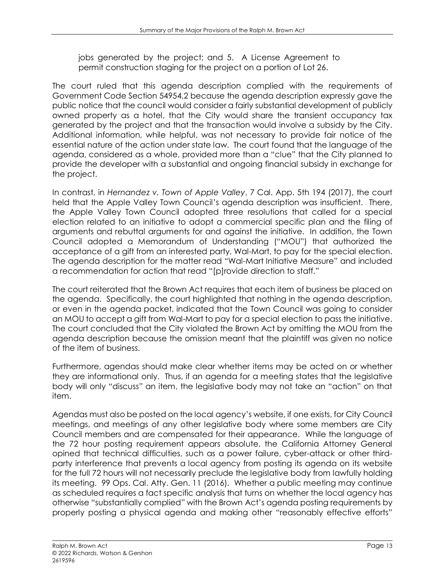jobs generated by the project; and 5. A License Agreement to permit construction staging for the project on a portion of Lot 26.

The court ruled that this agenda description complied with the requirements of Government Code Section 54954.2 because the agenda description expressly gave the public notice that the council would consider a fairly substantial development of publicly owned property as a hotel, that the City would share the transient occupancy tax generated by the project and that the transaction would involve a subsidy by the City. Additional information, while helpful, was not necessary to provide fair notice of the essential nature of the action under state law. The court found that the language of the agenda, considered as a whole, provided more than a "clue" that the City planned to provide the developer with a substantial and ongoing financial subsidy in exchange for the project.

In contrast, in *Hernandez v. Town of Apple Valley*, 7 Cal. App. 5th 194 (2017), the court held that the Apple Valley Town Council's agenda description was insufficient. There, the Apple Valley Town Council adopted three resolutions that called for a special election related to an initiative to adopt a commercial specific plan and the filing of arguments and rebuttal arguments for and against the initiative. In addition, the Town Council adopted a Memorandum of Understanding ("MOU") that authorized the acceptance of a gift from an interested party, Wal-Mart, to pay for the special election. The agenda description for the matter read "Wal-Mart Initiative Measure" and included a recommendation for action that read "[p]rovide direction to staff."

The court reiterated that the Brown Act requires that each item of business be placed on the agenda. Specifically, the court highlighted that nothing in the agenda description, or even in the agenda packet, indicated that the Town Council was going to consider an MOU to accept a gift from Wal-Mart to pay for a special election to pass the initiative. The court concluded that the City violated the Brown Act by omitting the MOU from the agenda description because the omission meant that the plaintiff was given no notice of the item of business.

Furthermore, agendas should make clear whether items may be acted on or whether they are informational only. Thus, if an agenda for a meeting states that the legislative body will only "discuss" an item, the legislative body may not take an "action" on that item.

Agendas must also be posted on the local agency's website, if one exists, for City Council meetings, and meetings of any other legislative body where some members are City Council members and are compensated for their appearance. While the language of the 72 hour posting requirement appears absolute, the California Attorney General opined that technical difficulties, such as a power failure, cyber-attack or other thirdparty interference that prevents a local agency from posting its agenda on its website for the full 72 hours will not necessarily preclude the legislative body from lawfully holding its meeting. 99 Ops. Cal. Atty. Gen. 11 (2016). Whether a public meeting may continue as scheduled requires a fact specific analysis that turns on whether the local agency has otherwise "substantially complied" with the Brown Act's agenda posting requirements by properly posting a physical agenda and making other "reasonably effective efforts"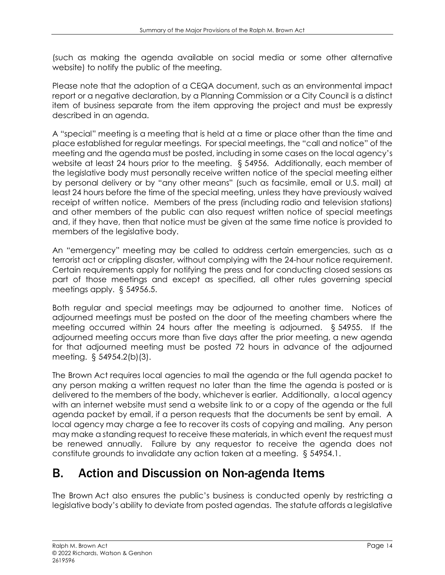(such as making the agenda available on social media or some other alternative website) to notify the public of the meeting.

Please note that the adoption of a CEQA document, such as an environmental impact report or a negative declaration, by a Planning Commission or a City Council is a distinct item of business separate from the item approving the project and must be expressly described in an agenda.

A "special" meeting is a meeting that is held at a time or place other than the time and place established for regular meetings. For special meetings, the "call and notice" of the meeting and the agenda must be posted, including in some cases on the local agency's website at least 24 hours prior to the meeting. § 54956. Additionally, each member of the legislative body must personally receive written notice of the special meeting either by personal delivery or by "any other means" (such as facsimile, email or U.S. mail) at least 24 hours before the time of the special meeting, unless they have previously waived receipt of written notice. Members of the press (including radio and television stations) and other members of the public can also request written notice of special meetings and, if they have, then that notice must be given at the same time notice is provided to members of the legislative body.

An "emergency" meeting may be called to address certain emergencies, such as a terrorist act or crippling disaster, without complying with the 24-hour notice requirement. Certain requirements apply for notifying the press and for conducting closed sessions as part of those meetings and except as specified, all other rules governing special meetings apply. § 54956.5.

Both regular and special meetings may be adjourned to another time. Notices of adjourned meetings must be posted on the door of the meeting chambers where the meeting occurred within 24 hours after the meeting is adjourned. § 54955. If the adjourned meeting occurs more than five days after the prior meeting, a new agenda for that adjourned meeting must be posted 72 hours in advance of the adjourned meeting. § 54954.2(b)(3).

The Brown Act requires local agencies to mail the agenda or the full agenda packet to any person making a written request no later than the time the agenda is posted or is delivered to the members of the body, whichever is earlier. Additionally, a local agency with an internet website must send a website link to or a copy of the agenda or the full agenda packet by email, if a person requests that the documents be sent by email. A local agency may charge a fee to recover its costs of copying and mailing. Any person may make a standing request to receive these materials, in which event the request must be renewed annually. Failure by any requestor to receive the agenda does not constitute grounds to invalidate any action taken at a meeting. § 54954.1.

## B. Action and Discussion on Non-agenda Items

The Brown Act also ensures the public's business is conducted openly by restricting a legislative body's ability to deviate from posted agendas. The statute affords a legislative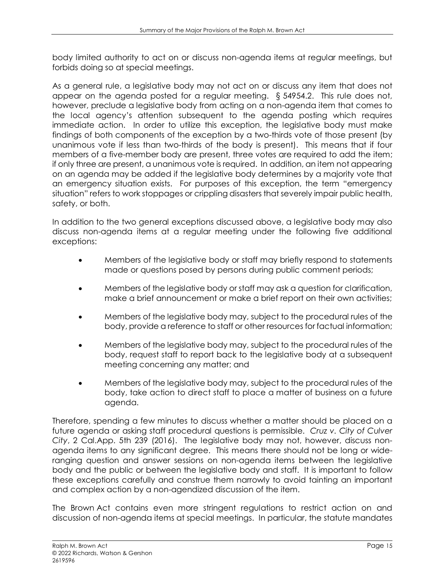body limited authority to act on or discuss non-agenda items at regular meetings, but forbids doing so at special meetings.

As a general rule, a legislative body may not act on or discuss any item that does not appear on the agenda posted for a regular meeting. § 54954.2. This rule does not, however, preclude a legislative body from acting on a non-agenda item that comes to the local agency's attention subsequent to the agenda posting which requires immediate action. In order to utilize this exception, the legislative body must make findings of both components of the exception by a two-thirds vote of those present (by unanimous vote if less than two-thirds of the body is present). This means that if four members of a five-member body are present, three votes are required to add the item; if only three are present, a unanimous vote is required. In addition, an item not appearing on an agenda may be added if the legislative body determines by a majority vote that an emergency situation exists. For purposes of this exception, the term "emergency situation" refers to work stoppages or crippling disasters that severely impair public health, safety, or both.

In addition to the two general exceptions discussed above, a legislative body may also discuss non-agenda items at a regular meeting under the following five additional exceptions:

- Members of the legislative body or staff may briefly respond to statements made or questions posed by persons during public comment periods;
- Members of the legislative body or staff may ask a question for clarification, make a brief announcement or make a brief report on their own activities;
- Members of the legislative body may, subject to the procedural rules of the body, provide a reference to staff or other resources for factual information;
- Members of the legislative body may, subject to the procedural rules of the body, request staff to report back to the legislative body at a subsequent meeting concerning any matter; and
- Members of the legislative body may, subject to the procedural rules of the body, take action to direct staff to place a matter of business on a future agenda.

Therefore, spending a few minutes to discuss whether a matter should be placed on a future agenda or asking staff procedural questions is permissible. *Cruz v. City of Culver City*, 2 Cal.App. 5th 239 (2016). The legislative body may not, however, discuss nonagenda items to any significant degree. This means there should not be long or wideranging question and answer sessions on non-agenda items between the legislative body and the public or between the legislative body and staff. It is important to follow these exceptions carefully and construe them narrowly to avoid tainting an important and complex action by a non-agendized discussion of the item.

The Brown Act contains even more stringent regulations to restrict action on and discussion of non-agenda items at special meetings. In particular, the statute mandates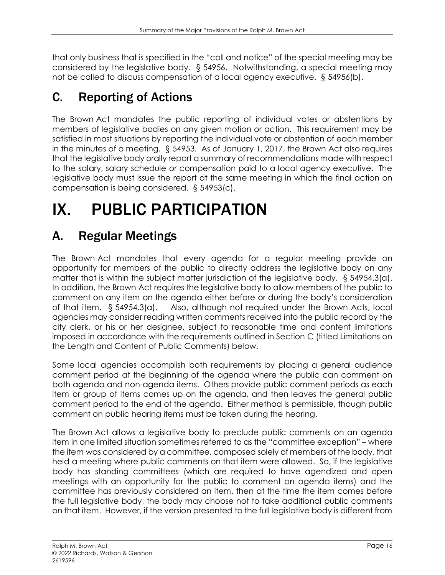that only business that is specified in the "call and notice" of the special meeting may be considered by the legislative body. § 54956. Notwithstanding, a special meeting may not be called to discuss compensation of a local agency executive. § 54956(b).

## C. Reporting of Actions

The Brown Act mandates the public reporting of individual votes or abstentions by members of legislative bodies on any given motion or action. This requirement may be satisfied in most situations by reporting the individual vote or abstention of each member in the minutes of a meeting. § 54953. As of January 1, 2017, the Brown Act also requires that the legislative body orally report a summary of recommendations made with respect to the salary, salary schedule or compensation paid to a local agency executive. The legislative body must issue the report at the same meeting in which the final action on compensation is being considered. § 54953(c).

# IX. PUBLIC PARTICIPATION

## A. Regular Meetings

The Brown Act mandates that every agenda for a regular meeting provide an opportunity for members of the public to directly address the legislative body on any matter that is within the subject matter jurisdiction of the legislative body. § 54954.3(a). In addition, the Brown Act requires the legislative body to allow members of the public to comment on any item on the agenda either before or during the body's consideration of that item. § 54954.3(a). Also, although not required under the Brown Acts, local agencies may consider reading written comments received into the public record by the city clerk, or his or her designee, subject to reasonable time and content limitations imposed in accordance with the requirements outlined in Section C (titled Limitations on the Length and Content of Public Comments) below.

Some local agencies accomplish both requirements by placing a general audience comment period at the beginning of the agenda where the public can comment on both agenda and non-agenda items. Others provide public comment periods as each item or group of items comes up on the agenda, and then leaves the general public comment period to the end of the agenda. Either method is permissible, though public comment on public hearing items must be taken during the hearing.

The Brown Act allows a legislative body to preclude public comments on an agenda item in one limited situation sometimes referred to as the "committee exception" – where the item was considered by a committee, composed solely of members of the body, that held a meeting where public comments on that item were allowed. So, if the legislative body has standing committees (which are required to have agendized and open meetings with an opportunity for the public to comment on agenda items) and the committee has previously considered an item, then at the time the item comes before the full legislative body, the body may choose not to take additional public comments on that item. However, if the version presented to the full legislative body is different from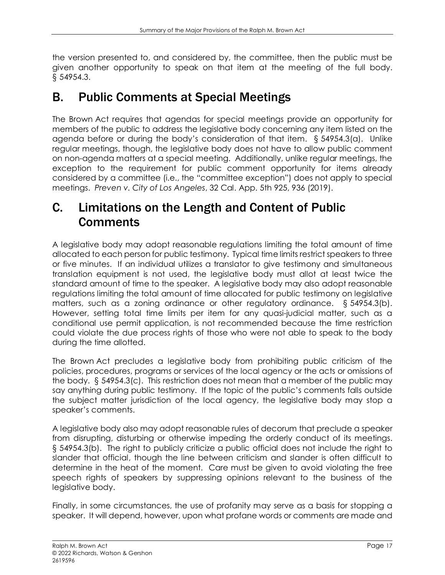the version presented to, and considered by, the committee, then the public must be given another opportunity to speak on that item at the meeting of the full body. § 54954.3.

### B. Public Comments at Special Meetings

The Brown Act requires that agendas for special meetings provide an opportunity for members of the public to address the legislative body concerning any item listed on the agenda before or during the body's consideration of that item. § 54954.3(a). Unlike regular meetings, though, the legislative body does not have to allow public comment on non-agenda matters at a special meeting. Additionally, unlike regular meetings, the exception to the requirement for public comment opportunity for items already considered by a committee (i.e., the "committee exception") does not apply to special meetings. *Preven v. City of Los Angeles*, 32 Cal. App. 5th 925, 936 (2019).

### C. Limitations on the Length and Content of Public **Comments**

A legislative body may adopt reasonable regulations limiting the total amount of time allocated to each person for public testimony. Typical time limits restrict speakers to three or five minutes. If an individual utilizes a translator to give testimony and simultaneous translation equipment is not used, the legislative body must allot at least twice the standard amount of time to the speaker. A legislative body may also adopt reasonable regulations limiting the total amount of time allocated for public testimony on legislative matters, such as a zoning ordinance or other regulatory ordinance. § 54954.3(b). However, setting total time limits per item for any quasi-judicial matter, such as a conditional use permit application, is not recommended because the time restriction could violate the due process rights of those who were not able to speak to the body during the time allotted.

The Brown Act precludes a legislative body from prohibiting public criticism of the policies, procedures, programs or services of the local agency or the acts or omissions of the body. § 54954.3(c). This restriction does not mean that a member of the public may say anything during public testimony. If the topic of the public's comments falls outside the subject matter jurisdiction of the local agency, the legislative body may stop a speaker's comments.

A legislative body also may adopt reasonable rules of decorum that preclude a speaker from disrupting, disturbing or otherwise impeding the orderly conduct of its meetings. § 54954.3(b). The right to publicly criticize a public official does not include the right to slander that official, though the line between criticism and slander is often difficult to determine in the heat of the moment. Care must be given to avoid violating the free speech rights of speakers by suppressing opinions relevant to the business of the legislative body.

Finally, in some circumstances, the use of profanity may serve as a basis for stopping a speaker. It will depend, however, upon what profane words or comments are made and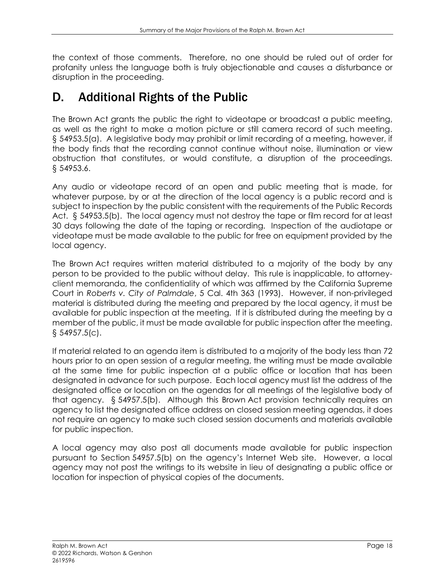the context of those comments. Therefore, no one should be ruled out of order for profanity unless the language both is truly objectionable and causes a disturbance or disruption in the proceeding.

### D. Additional Rights of the Public

The Brown Act grants the public the right to videotape or broadcast a public meeting, as well as the right to make a motion picture or still camera record of such meeting. § 54953.5(a). A legislative body may prohibit or limit recording of a meeting, however, if the body finds that the recording cannot continue without noise, illumination or view obstruction that constitutes, or would constitute, a disruption of the proceedings. § 54953.6.

Any audio or videotape record of an open and public meeting that is made, for whatever purpose, by or at the direction of the local agency is a public record and is subject to inspection by the public consistent with the requirements of the Public Records Act. § 54953.5(b). The local agency must not destroy the tape or film record for at least 30 days following the date of the taping or recording. Inspection of the audiotape or videotape must be made available to the public for free on equipment provided by the local agency.

The Brown Act requires written material distributed to a majority of the body by any person to be provided to the public without delay. This rule is inapplicable, to attorneyclient memoranda, the confidentiality of which was affirmed by the California Supreme Court in *Roberts v. City of Palmdale*, 5 Cal. 4th 363 (1993). However, if non-privileged material is distributed during the meeting and prepared by the local agency, it must be available for public inspection at the meeting. If it is distributed during the meeting by a member of the public, it must be made available for public inspection after the meeting. § 54957.5(c).

If material related to an agenda item is distributed to a majority of the body less than 72 hours prior to an open session of a regular meeting, the writing must be made available at the same time for public inspection at a public office or location that has been designated in advance for such purpose. Each local agency must list the address of the designated office or location on the agendas for all meetings of the legislative body of that agency. § 54957.5(b). Although this Brown Act provision technically requires an agency to list the designated office address on closed session meeting agendas, it does not require an agency to make such closed session documents and materials available for public inspection.

A local agency may also post all documents made available for public inspection pursuant to Section 54957.5(b) on the agency's Internet Web site. However, a local agency may not post the writings to its website in lieu of designating a public office or location for inspection of physical copies of the documents.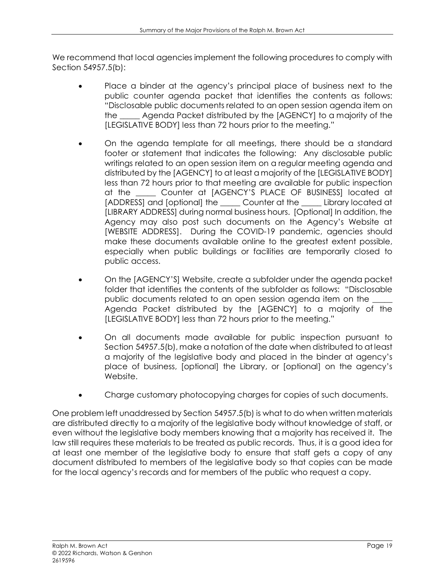We recommend that local agencies implement the following procedures to comply with Section 54957.5(b):

- Place a binder at the agency's principal place of business next to the public counter agenda packet that identifies the contents as follows: "Disclosable public documents related to an open session agenda item on the **\_\_\_\_\_** Agenda Packet distributed by the [AGENCY] to a majority of the [LEGISLATIVE BODY] less than 72 hours prior to the meeting."
- On the agenda template for all meetings, there should be a standard footer or statement that indicates the following: Any disclosable public writings related to an open session item on a regular meeting agenda and distributed by the [AGENCY] to at least a majority of the [LEGISLATIVE BODY] less than 72 hours prior to that meeting are available for public inspection at the **\_\_\_\_\_** Counter at [AGENCY'S PLACE OF BUSINESS] located at [ADDRESS] and [optional] the **\_\_\_\_\_** Counter at the **\_\_\_\_\_** Library located at [LIBRARY ADDRESS] during normal business hours. [Optional] In addition, the Agency may also post such documents on the Agency's Website at [WEBSITE ADDRESS]. During the COVID-19 pandemic, agencies should make these documents available online to the greatest extent possible, especially when public buildings or facilities are temporarily closed to public access.
- On the [AGENCY'S] Website, create a subfolder under the agenda packet folder that identifies the contents of the subfolder as follows: "Disclosable public documents related to an open session agenda item on the **\_\_\_\_\_** Agenda Packet distributed by the [AGENCY] to a majority of the [LEGISLATIVE BODY] less than 72 hours prior to the meeting."
- On all documents made available for public inspection pursuant to Section 54957.5(b), make a notation of the date when distributed to at least a majority of the legislative body and placed in the binder at agency's place of business, [optional] the Library, or [optional] on the agency's Website.
- Charge customary photocopying charges for copies of such documents.

One problem left unaddressed by Section 54957.5(b) is what to do when written materials are distributed directly to a majority of the legislative body without knowledge of staff, or even without the legislative body members knowing that a majority has received it. The law still requires these materials to be treated as public records. Thus, it is a good idea for at least one member of the legislative body to ensure that staff gets a copy of any document distributed to members of the legislative body so that copies can be made for the local agency's records and for members of the public who request a copy.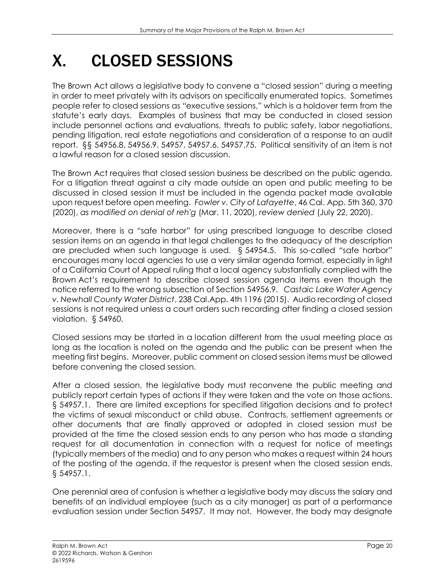# X. CLOSED SESSIONS

The Brown Act allows a legislative body to convene a "closed session" during a meeting in order to meet privately with its advisors on specifically enumerated topics. Sometimes people refer to closed sessions as "executive sessions," which is a holdover term from the statute's early days. Examples of business that may be conducted in closed session include personnel actions and evaluations, threats to public safety, labor negotiations, pending litigation, real estate negotiations and consideration of a response to an audit report. §§ 54956.8, 54956.9, 54957, 54957.6, 54957.75. Political sensitivity of an item is not a lawful reason for a closed session discussion.

The Brown Act requires that closed session business be described on the public agenda. For a litigation threat against a city made outside an open and public meeting to be discussed in closed session it must be included in the agenda packet made available upon request before open meeting. *Fowler v. City of Lafayette*, 46 Cal. App. 5th 360, 370 (2020), *as modified on denial of reh'g* (Mar. 11, 2020), *review denied* (July 22, 2020).

Moreover, there is a "safe harbor" for using prescribed language to describe closed session items on an agenda in that legal challenges to the adequacy of the description are precluded when such language is used. § 54954.5. This so-called "safe harbor" encourages many local agencies to use a very similar agenda format, especially in light of a California Court of Appeal ruling that a local agency substantially complied with the Brown Act's requirement to describe closed session agenda items even though the notice referred to the wrong subsection of Section 54956.9. *Castaic Lake Water Agency v. Newhall County Water District*, 238 Cal.App. 4th 1196 (2015). Audio recording of closed sessions is not required unless a court orders such recording after finding a closed session violation. § 54960.

Closed sessions may be started in a location different from the usual meeting place as long as the location is noted on the agenda and the public can be present when the meeting first begins. Moreover, public comment on closed session items must be allowed before convening the closed session.

After a closed session, the legislative body must reconvene the public meeting and publicly report certain types of actions if they were taken and the vote on those actions. § 54957.1. There are limited exceptions for specified litigation decisions and to protect the victims of sexual misconduct or child abuse. Contracts, settlement agreements or other documents that are finally approved or adopted in closed session must be provided at the time the closed session ends to any person who has made a standing request for all documentation in connection with a request for notice of meetings (typically members of the media) and to any person who makes a request within 24 hours of the posting of the agenda, if the requestor is present when the closed session ends. § 54957.1.

One perennial area of confusion is whether a legislative body may discuss the salary and benefits of an individual employee (such as a city manager) as part of a performance evaluation session under Section 54957. It may not. However, the body may designate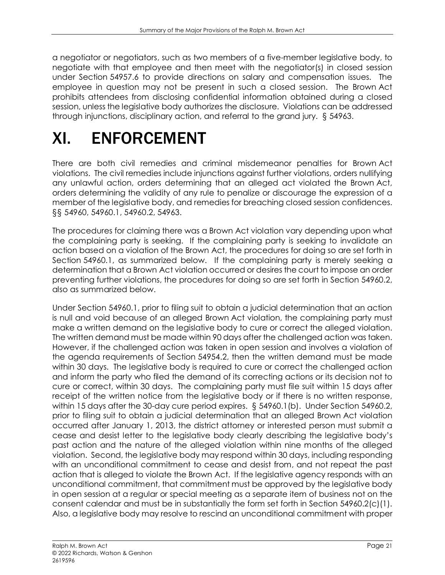a negotiator or negotiators, such as two members of a five-member legislative body, to negotiate with that employee and then meet with the negotiator(s) in closed session under Section 54957.6 to provide directions on salary and compensation issues. The employee in question may not be present in such a closed session. The Brown Act prohibits attendees from disclosing confidential information obtained during a closed session, unless the legislative body authorizes the disclosure. Violations can be addressed through injunctions, disciplinary action, and referral to the grand jury. § 54963.

## XI. ENFORCEMENT

There are both civil remedies and criminal misdemeanor penalties for Brown Act violations. The civil remedies include injunctions against further violations, orders nullifying any unlawful action, orders determining that an alleged act violated the Brown Act, orders determining the validity of any rule to penalize or discourage the expression of a member of the legislative body, and remedies for breaching closed session confidences. §§ 54960, 54960.1, 54960.2, 54963.

The procedures for claiming there was a Brown Act violation vary depending upon what the complaining party is seeking. If the complaining party is seeking to invalidate an action based on a violation of the Brown Act, the procedures for doing so are set forth in Section 54960.1, as summarized below. If the complaining party is merely seeking a determination that a Brown Act violation occurred or desires the court to impose an order preventing further violations, the procedures for doing so are set forth in Section 54960.2, also as summarized below.

Under Section 54960.1, prior to filing suit to obtain a judicial determination that an action is null and void because of an alleged Brown Act violation, the complaining party must make a written demand on the legislative body to cure or correct the alleged violation. The written demand must be made within 90 days after the challenged action was taken. However, if the challenged action was taken in open session and involves a violation of the agenda requirements of Section 54954.2, then the written demand must be made within 30 days. The legislative body is required to cure or correct the challenged action and inform the party who filed the demand of its correcting actions or its decision not to cure or correct, within 30 days. The complaining party must file suit within 15 days after receipt of the written notice from the legislative body or if there is no written response, within 15 days after the 30-day cure period expires. § 54960.1(b). Under Section 54960.2, prior to filing suit to obtain a judicial determination that an alleged Brown Act violation occurred after January 1, 2013, the district attorney or interested person must submit a cease and desist letter to the legislative body clearly describing the legislative body's past action and the nature of the alleged violation within nine months of the alleged violation. Second, the legislative body may respond within 30 days, including responding with an unconditional commitment to cease and desist from, and not repeat the past action that is alleged to violate the Brown Act. If the legislative agency responds with an unconditional commitment, that commitment must be approved by the legislative body in open session at a regular or special meeting as a separate item of business not on the consent calendar and must be in substantially the form set forth in Section 54960.2(c)(1). Also, a legislative body may resolve to rescind an unconditional commitment with proper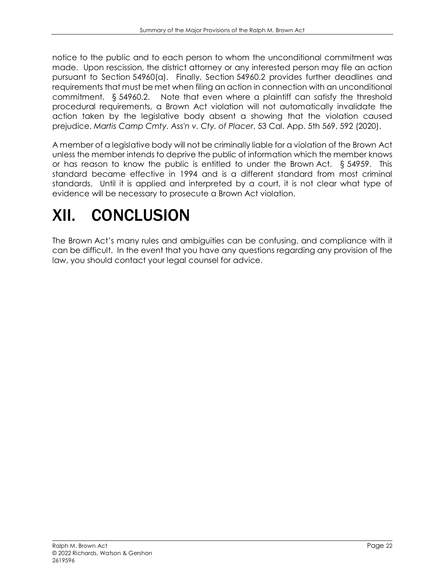notice to the public and to each person to whom the unconditional commitment was made. Upon rescission, the district attorney or any interested person may file an action pursuant to Section 54960(a). Finally, Section 54960.2 provides further deadlines and requirements that must be met when filing an action in connection with an unconditional commitment. § 54960.2. Note that even where a plaintiff can satisfy the threshold procedural requirements, a Brown Act violation will not automatically invalidate the action taken by the legislative body absent a showing that the violation caused prejudice. *Martis Camp Cmty. Ass'n v. Cty. of Placer*, 53 Cal. App. 5th 569, 592 (2020).

A member of a legislative body will not be criminally liable for a violation of the Brown Act unless the member intends to deprive the public of information which the member knows or has reason to know the public is entitled to under the Brown Act. § 54959. This standard became effective in 1994 and is a different standard from most criminal standards. Until it is applied and interpreted by a court, it is not clear what type of evidence will be necessary to prosecute a Brown Act violation.

# XII. CONCLUSION

The Brown Act's many rules and ambiguities can be confusing, and compliance with it can be difficult. In the event that you have any questions regarding any provision of the law, you should contact your legal counsel for advice.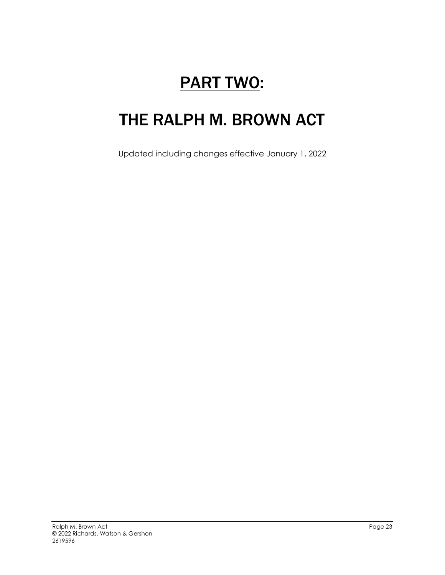## PART TWO:

# THE RALPH M. BROWN ACT

Updated including changes effective January 1, 2022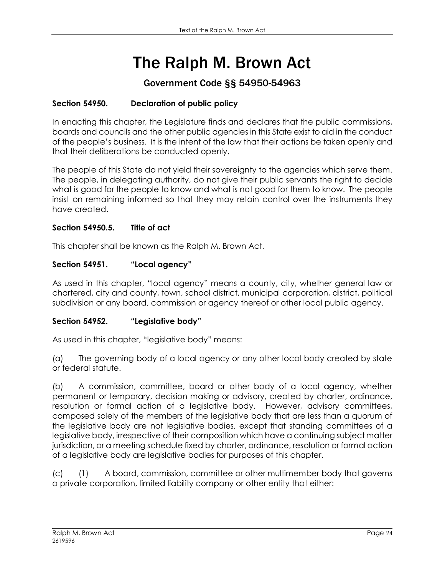# The Ralph M. Brown Act

### Government Code §§ 54950-54963

### **Section 54950. Declaration of public policy**

In enacting this chapter, the Legislature finds and declares that the public commissions, boards and councils and the other public agencies in this State exist to aid in the conduct of the people's business. It is the intent of the law that their actions be taken openly and that their deliberations be conducted openly.

The people of this State do not yield their sovereignty to the agencies which serve them. The people, in delegating authority, do not give their public servants the right to decide what is good for the people to know and what is not good for them to know. The people insist on remaining informed so that they may retain control over the instruments they have created.

### **Section 54950.5. Title of act**

This chapter shall be known as the Ralph M. Brown Act.

### **Section 54951. "Local agency"**

As used in this chapter, "local agency" means a county, city, whether general law or chartered, city and county, town, school district, municipal corporation, district, political subdivision or any board, commission or agency thereof or other local public agency.

### **Section 54952. "Legislative body"**

As used in this chapter, "legislative body" means:

(a) The governing body of a local agency or any other local body created by state or federal statute.

(b) A commission, committee, board or other body of a local agency, whether permanent or temporary, decision making or advisory, created by charter, ordinance, resolution or formal action of a legislative body. However, advisory committees, composed solely of the members of the legislative body that are less than a quorum of the legislative body are not legislative bodies, except that standing committees of a legislative body, irrespective of their composition which have a continuing subject matter jurisdiction, or a meeting schedule fixed by charter, ordinance, resolution or formal action of a legislative body are legislative bodies for purposes of this chapter.

(c) (1) A board, commission, committee or other multimember body that governs a private corporation, limited liability company or other entity that either: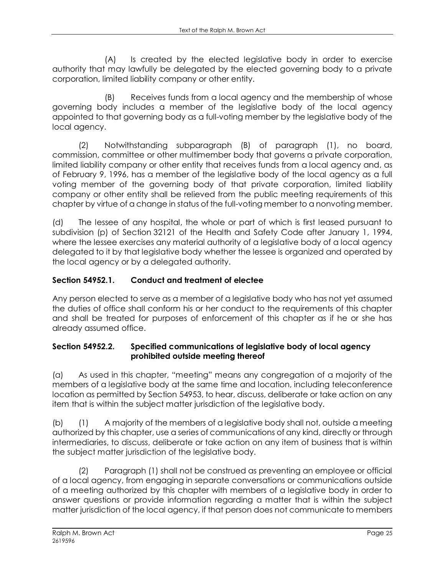(A) Is created by the elected legislative body in order to exercise authority that may lawfully be delegated by the elected governing body to a private corporation, limited liability company or other entity.

(B) Receives funds from a local agency and the membership of whose governing body includes a member of the legislative body of the local agency appointed to that governing body as a full-voting member by the legislative body of the local agency.

(2) Notwithstanding subparagraph (B) of paragraph (1), no board, commission, committee or other multimember body that governs a private corporation, limited liability company or other entity that receives funds from a local agency and, as of February 9, 1996, has a member of the legislative body of the local agency as a full voting member of the governing body of that private corporation, limited liability company or other entity shall be relieved from the public meeting requirements of this chapter by virtue of a change in status of the full-voting member to a nonvoting member.

(d) The lessee of any hospital, the whole or part of which is first leased pursuant to subdivision (p) of Section 32121 of the Health and Safety Code after January 1, 1994, where the lessee exercises any material authority of a legislative body of a local agency delegated to it by that legislative body whether the lessee is organized and operated by the local agency or by a delegated authority.

### **Section 54952.1. Conduct and treatment of electee**

Any person elected to serve as a member of a legislative body who has not yet assumed the duties of office shall conform his or her conduct to the requirements of this chapter and shall be treated for purposes of enforcement of this chapter as if he or she has already assumed office.

#### **Section 54952.2. Specified communications of legislative body of local agency prohibited outside meeting thereof**

(a) As used in this chapter, "meeting" means any congregation of a majority of the members of a legislative body at the same time and location, including teleconference location as permitted by Section 54953, to hear, discuss, deliberate or take action on any item that is within the subject matter jurisdiction of the legislative body.

(b) (1) A majority of the members of a legislative body shall not, outside a meeting authorized by this chapter, use a series of communications of any kind, directly or through intermediaries, to discuss, deliberate or take action on any item of business that is within the subject matter jurisdiction of the legislative body.

(2) Paragraph (1) shall not be construed as preventing an employee or official of a local agency, from engaging in separate conversations or communications outside of a meeting authorized by this chapter with members of a legislative body in order to answer questions or provide information regarding a matter that is within the subject matter jurisdiction of the local agency, if that person does not communicate to members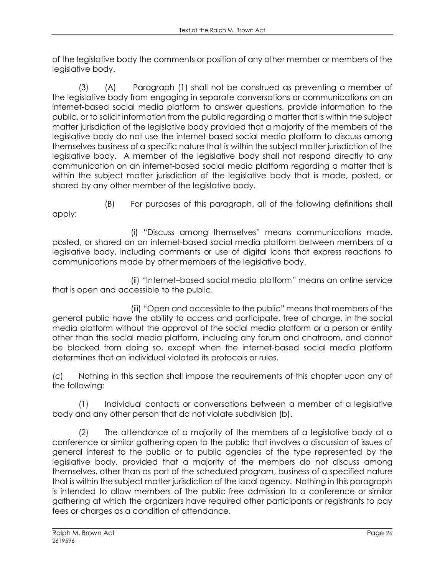of the legislative body the comments or position of any other member or members of the legislative body.

(3) (A) Paragraph (1) shall not be construed as preventing a member of the legislative body from engaging in separate conversations or communications on an internet-based social media platform to answer questions, provide information to the public, or to solicit information from the public regarding a matter that is within the subject matter jurisdiction of the legislative body provided that a majority of the members of the legislative body do not use the internet-based social media platform to discuss among themselves business of a specific nature that is within the subject matter jurisdiction of the legislative body. A member of the legislative body shall not respond directly to any communication on an internet-based social media platform regarding a matter that is within the subject matter jurisdiction of the legislative body that is made, posted, or shared by any other member of the legislative body.

apply:

(B) For purposes of this paragraph, all of the following definitions shall

(i) "Discuss among themselves" means communications made, posted, or shared on an internet-based social media platform between members of a legislative body, including comments or use of digital icons that express reactions to communications made by other members of the legislative body.

(ii) "Internet–based social media platform" means an online service that is open and accessible to the public.

(iii) "Open and accessible to the public" means that members of the general public have the ability to access and participate, free of charge, in the social media platform without the approval of the social media platform or a person or entity other than the social media platform, including any forum and chatroom, and cannot be blocked from doing so, except when the internet-based social media platform determines that an individual violated its protocols or rules.

(c) Nothing in this section shall impose the requirements of this chapter upon any of the following:

(1) Individual contacts or conversations between a member of a legislative body and any other person that do not violate subdivision (b).

(2) The attendance of a majority of the members of a legislative body at a conference or similar gathering open to the public that involves a discussion of issues of general interest to the public or to public agencies of the type represented by the legislative body, provided that a majority of the members do not discuss among themselves, other than as part of the scheduled program, business of a specified nature that is within the subject matter jurisdiction of the local agency. Nothing in this paragraph is intended to allow members of the public free admission to a conference or similar gathering at which the organizers have required other participants or registrants to pay fees or charges as a condition of attendance.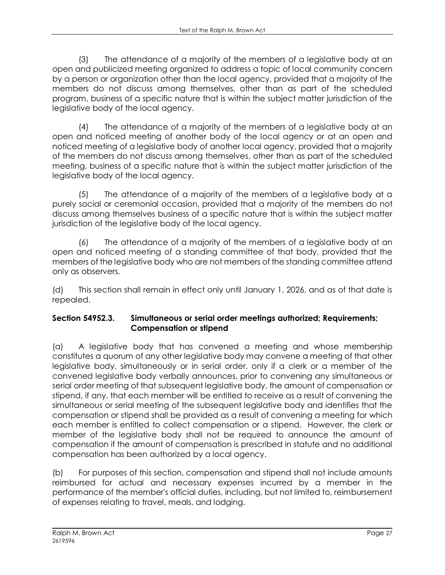(3) The attendance of a majority of the members of a legislative body at an open and publicized meeting organized to address a topic of local community concern by a person or organization other than the local agency, provided that a majority of the members do not discuss among themselves, other than as part of the scheduled program, business of a specific nature that is within the subject matter jurisdiction of the legislative body of the local agency.

(4) The attendance of a majority of the members of a legislative body at an open and noticed meeting of another body of the local agency or at an open and noticed meeting of a legislative body of another local agency, provided that a majority of the members do not discuss among themselves, other than as part of the scheduled meeting, business of a specific nature that is within the subject matter jurisdiction of the legislative body of the local agency.

(5) The attendance of a majority of the members of a legislative body at a purely social or ceremonial occasion, provided that a majority of the members do not discuss among themselves business of a specific nature that is within the subject matter jurisdiction of the legislative body of the local agency.

(6) The attendance of a majority of the members of a legislative body at an open and noticed meeting of a standing committee of that body, provided that the members of the legislative body who are not members of the standing committee attend only as observers.

(d) This section shall remain in effect only until January 1, 2026, and as of that date is repealed.

#### **Section 54952.3. Simultaneous or serial order meetings authorized; Requirements; Compensation or stipend**

(a) A legislative body that has convened a meeting and whose membership constitutes a quorum of any other legislative body may convene a meeting of that other legislative body, simultaneously or in serial order, only if a clerk or a member of the convened legislative body verbally announces, prior to convening any simultaneous or serial order meeting of that subsequent legislative body, the amount of compensation or stipend, if any, that each member will be entitled to receive as a result of convening the simultaneous or serial meeting of the subsequent legislative body and identifies that the compensation or stipend shall be provided as a result of convening a meeting for which each member is entitled to collect compensation or a stipend. However, the clerk or member of the legislative body shall not be required to announce the amount of compensation if the amount of compensation is prescribed in statute and no additional compensation has been authorized by a local agency.

(b) For purposes of this section, compensation and stipend shall not include amounts reimbursed for actual and necessary expenses incurred by a member in the performance of the member's official duties, including, but not limited to, reimbursement of expenses relating to travel, meals, and lodging.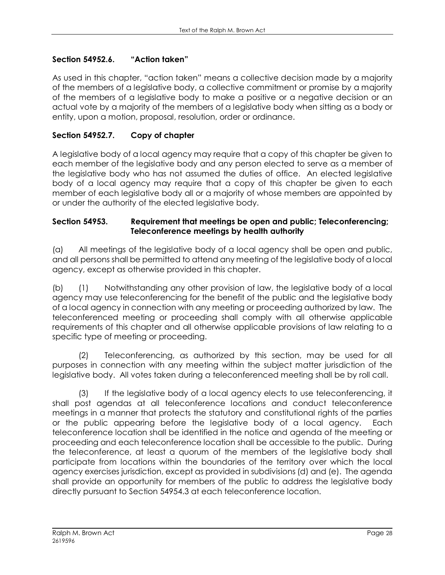#### **Section 54952.6. "Action taken"**

As used in this chapter, "action taken" means a collective decision made by a majority of the members of a legislative body, a collective commitment or promise by a majority of the members of a legislative body to make a positive or a negative decision or an actual vote by a majority of the members of a legislative body when sitting as a body or entity, upon a motion, proposal, resolution, order or ordinance.

#### **Section 54952.7. Copy of chapter**

A legislative body of a local agency may require that a copy of this chapter be given to each member of the legislative body and any person elected to serve as a member of the legislative body who has not assumed the duties of office. An elected legislative body of a local agency may require that a copy of this chapter be given to each member of each legislative body all or a majority of whose members are appointed by or under the authority of the elected legislative body.

#### **Section 54953. Requirement that meetings be open and public; Teleconferencing; Teleconference meetings by health authority**

(a) All meetings of the legislative body of a local agency shall be open and public, and all persons shall be permitted to attend any meeting of the legislative body of a local agency, except as otherwise provided in this chapter.

(b) (1) Notwithstanding any other provision of law, the legislative body of a local agency may use teleconferencing for the benefit of the public and the legislative body of a local agency in connection with any meeting or proceeding authorized by law. The teleconferenced meeting or proceeding shall comply with all otherwise applicable requirements of this chapter and all otherwise applicable provisions of law relating to a specific type of meeting or proceeding.

(2) Teleconferencing, as authorized by this section, may be used for all purposes in connection with any meeting within the subject matter jurisdiction of the legislative body. All votes taken during a teleconferenced meeting shall be by roll call.

(3) If the legislative body of a local agency elects to use teleconferencing, it shall post agendas at all teleconference locations and conduct teleconference meetings in a manner that protects the statutory and constitutional rights of the parties or the public appearing before the legislative body of a local agency. Each teleconference location shall be identified in the notice and agenda of the meeting or proceeding and each teleconference location shall be accessible to the public. During the teleconference, at least a quorum of the members of the legislative body shall participate from locations within the boundaries of the territory over which the local agency exercises jurisdiction, except as provided in subdivisions (d) and (e). The agenda shall provide an opportunity for members of the public to address the legislative body directly pursuant to Section 54954.3 at each teleconference location.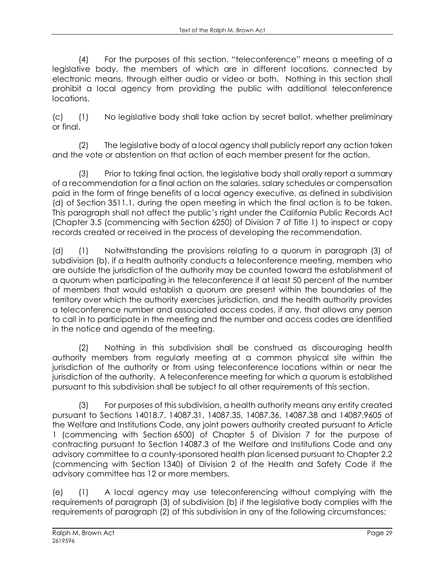(4) For the purposes of this section, "teleconference" means a meeting of a legislative body, the members of which are in different locations, connected by electronic means, through either audio or video or both. Nothing in this section shall prohibit a local agency from providing the public with additional teleconference locations.

(c) (1) No legislative body shall take action by secret ballot, whether preliminary or final.

(2) The legislative body of a local agency shall publicly report any action taken and the vote or abstention on that action of each member present for the action.

(3) Prior to taking final action, the legislative body shall orally report a summary of a recommendation for a final action on the salaries, salary schedules or compensation paid in the form of fringe benefits of a local agency executive, as defined in subdivision (d) of Section 3511.1, during the open meeting in which the final action is to be taken. This paragraph shall not affect the public's right under the California Public Records Act (Chapter 3.5 (commencing with Section 6250) of Division 7 of Title 1) to inspect or copy records created or received in the process of developing the recommendation.

(d) (1) Notwithstanding the provisions relating to a quorum in paragraph (3) of subdivision (b), if a health authority conducts a teleconference meeting, members who are outside the jurisdiction of the authority may be counted toward the establishment of a quorum when participating in the teleconference if at least 50 percent of the number of members that would establish a quorum are present within the boundaries of the territory over which the authority exercises jurisdiction, and the health authority provides a teleconference number and associated access codes, if any, that allows any person to call in to participate in the meeting and the number and access codes are identified in the notice and agenda of the meeting.

(2) Nothing in this subdivision shall be construed as discouraging health authority members from regularly meeting at a common physical site within the jurisdiction of the authority or from using teleconference locations within or near the jurisdiction of the authority. A teleconference meeting for which a quorum is established pursuant to this subdivision shall be subject to all other requirements of this section.

(3) For purposes of this subdivision, a health authority means any entity created pursuant to Sections 14018.7, 14087.31, 14087.35, 14087.36, 14087.38 and 14087.9605 of the Welfare and Institutions Code, any joint powers authority created pursuant to Article 1 (commencing with Section 6500) of Chapter 5 of Division 7 for the purpose of contracting pursuant to Section 14087.3 of the Welfare and Institutions Code and any advisory committee to a county-sponsored health plan licensed pursuant to Chapter 2.2 (commencing with Section 1340) of Division 2 of the Health and Safety Code if the advisory committee has 12 or more members.

(e) (1) A local agency may use teleconferencing without complying with the requirements of paragraph (3) of subdivision (b) if the legislative body complies with the requirements of paragraph (2) of this subdivision in any of the following circumstances: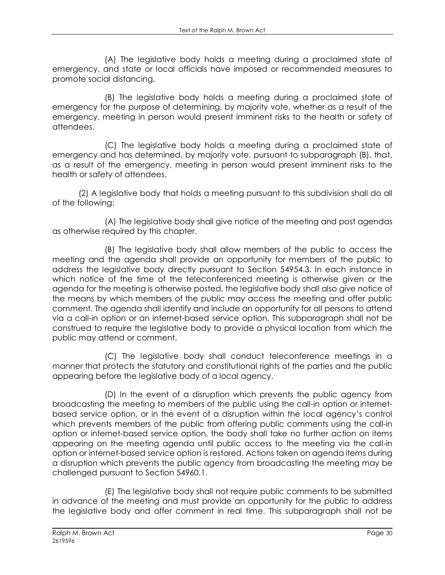(A) The legislative body holds a meeting during a proclaimed state of emergency, and state or local officials have imposed or recommended measures to promote social distancing.

(B) The legislative body holds a meeting during a proclaimed state of emergency for the purpose of determining, by majority vote, whether as a result of the emergency, meeting in person would present imminent risks to the health or safety of attendees.

(C) The legislative body holds a meeting during a proclaimed state of emergency and has determined, by majority vote, pursuant to subparagraph (B), that, as a result of the emergency, meeting in person would present imminent risks to the health or safety of attendees.

(2) A legislative body that holds a meeting pursuant to this subdivision shall do all of the following:

(A) The legislative body shall give notice of the meeting and post agendas as otherwise required by this chapter.

(B) The legislative body shall allow members of the public to access the meeting and the agenda shall provide an opportunity for members of the public to address the legislative body directly pursuant to Section 54954.3. In each instance in which notice of the time of the teleconferenced meeting is otherwise given or the agenda for the meeting is otherwise posted, the legislative body shall also give notice of the means by which members of the public may access the meeting and offer public comment. The agenda shall identify and include an opportunity for all persons to attend via a call-in option or an internet-based service option. This subparagraph shall not be construed to require the legislative body to provide a physical location from which the public may attend or comment.

(C) The legislative body shall conduct teleconference meetings in a manner that protects the statutory and constitutional rights of the parties and the public appearing before the legislative body of a local agency.

(D) In the event of a disruption which prevents the public agency from broadcasting the meeting to members of the public using the call-in option or internetbased service option, or in the event of a disruption within the local agency's control which prevents members of the public from offering public comments using the call-in option or internet-based service option, the body shall take no further action on items appearing on the meeting agenda until public access to the meeting via the call-in option or internet-based service option is restored. Actions taken on agenda items during a disruption which prevents the public agency from broadcasting the meeting may be challenged pursuant to Section 54960.1.

(E) The legislative body shall not require public comments to be submitted in advance of the meeting and must provide an opportunity for the public to address the legislative body and offer comment in real time. This subparagraph shall not be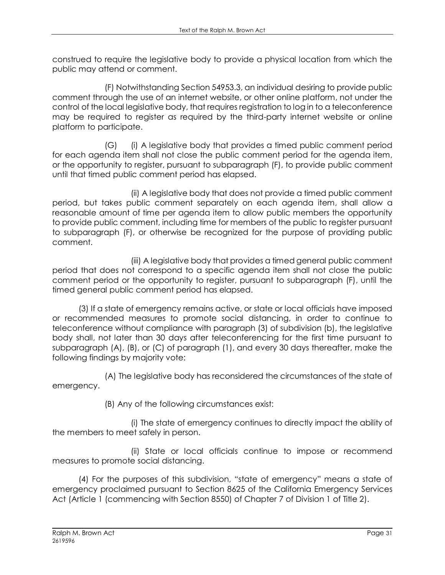construed to require the legislative body to provide a physical location from which the public may attend or comment.

(F) Notwithstanding Section 54953.3, an individual desiring to provide public comment through the use of an internet website, or other online platform, not under the control of the local legislative body, that requires registration to log in to a teleconference may be required to register as required by the third-party internet website or online platform to participate.

(G) (i) A legislative body that provides a timed public comment period for each agenda item shall not close the public comment period for the agenda item, or the opportunity to register, pursuant to subparagraph (F), to provide public comment until that timed public comment period has elapsed.

(ii) A legislative body that does not provide a timed public comment period, but takes public comment separately on each agenda item, shall allow a reasonable amount of time per agenda item to allow public members the opportunity to provide public comment, including time for members of the public to register pursuant to subparagraph (F), or otherwise be recognized for the purpose of providing public comment.

(iii) A legislative body that provides a timed general public comment period that does not correspond to a specific agenda item shall not close the public comment period or the opportunity to register, pursuant to subparagraph (F), until the timed general public comment period has elapsed.

(3) If a state of emergency remains active, or state or local officials have imposed or recommended measures to promote social distancing, in order to continue to teleconference without compliance with paragraph (3) of subdivision (b), the legislative body shall, not later than 30 days after teleconferencing for the first time pursuant to subparagraph (A), (B), or (C) of paragraph (1), and every 30 days thereafter, make the following findings by majority vote:

(A) The legislative body has reconsidered the circumstances of the state of emergency.

(B) Any of the following circumstances exist:

(i) The state of emergency continues to directly impact the ability of the members to meet safely in person.

(ii) State or local officials continue to impose or recommend measures to promote social distancing.

(4) For the purposes of this subdivision, "state of emergency" means a state of emergency proclaimed pursuant to Section 8625 of the California Emergency Services Act (Article 1 (commencing with Section 8550) of Chapter 7 of Division 1 of Title 2).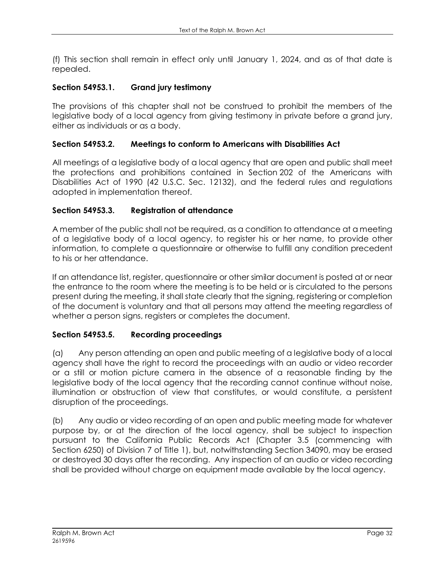(f) This section shall remain in effect only until January 1, 2024, and as of that date is repealed.

#### **Section 54953.1. Grand jury testimony**

The provisions of this chapter shall not be construed to prohibit the members of the legislative body of a local agency from giving testimony in private before a grand jury, either as individuals or as a body.

#### **Section 54953.2. Meetings to conform to Americans with Disabilities Act**

All meetings of a legislative body of a local agency that are open and public shall meet the protections and prohibitions contained in Section 202 of the Americans with Disabilities Act of 1990 (42 U.S.C. Sec. 12132), and the federal rules and regulations adopted in implementation thereof.

#### **Section 54953.3. Registration of attendance**

A member of the public shall not be required, as a condition to attendance at a meeting of a legislative body of a local agency, to register his or her name, to provide other information, to complete a questionnaire or otherwise to fulfill any condition precedent to his or her attendance.

If an attendance list, register, questionnaire or other similar document is posted at or near the entrance to the room where the meeting is to be held or is circulated to the persons present during the meeting, it shall state clearly that the signing, registering or completion of the document is voluntary and that all persons may attend the meeting regardless of whether a person signs, registers or completes the document.

#### **Section 54953.5. Recording proceedings**

(a) Any person attending an open and public meeting of a legislative body of a local agency shall have the right to record the proceedings with an audio or video recorder or a still or motion picture camera in the absence of a reasonable finding by the legislative body of the local agency that the recording cannot continue without noise, illumination or obstruction of view that constitutes, or would constitute, a persistent disruption of the proceedings.

(b) Any audio or video recording of an open and public meeting made for whatever purpose by, or at the direction of the local agency, shall be subject to inspection pursuant to the California Public Records Act (Chapter 3.5 (commencing with Section 6250) of Division 7 of Title 1), but, notwithstanding Section 34090, may be erased or destroyed 30 days after the recording. Any inspection of an audio or video recording shall be provided without charge on equipment made available by the local agency.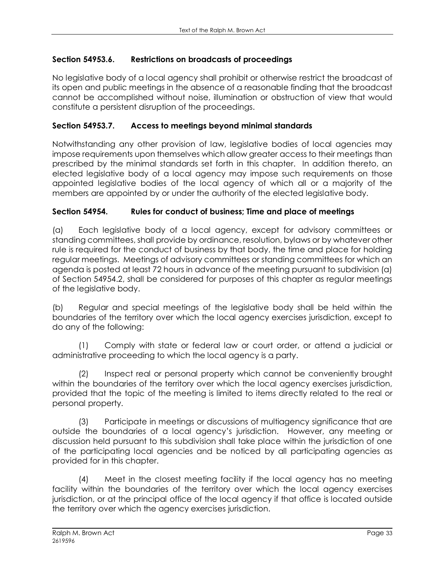# **Section 54953.6. Restrictions on broadcasts of proceedings**

No legislative body of a local agency shall prohibit or otherwise restrict the broadcast of its open and public meetings in the absence of a reasonable finding that the broadcast cannot be accomplished without noise, illumination or obstruction of view that would constitute a persistent disruption of the proceedings.

### **Section 54953.7. Access to meetings beyond minimal standards**

Notwithstanding any other provision of law, legislative bodies of local agencies may impose requirements upon themselves which allow greater access to their meetings than prescribed by the minimal standards set forth in this chapter. In addition thereto, an elected legislative body of a local agency may impose such requirements on those appointed legislative bodies of the local agency of which all or a majority of the members are appointed by or under the authority of the elected legislative body.

### **Section 54954. Rules for conduct of business; Time and place of meetings**

(a) Each legislative body of a local agency, except for advisory committees or standing committees, shall provide by ordinance, resolution, bylaws or by whatever other rule is required for the conduct of business by that body, the time and place for holding regular meetings. Meetings of advisory committees or standing committees for which an agenda is posted at least 72 hours in advance of the meeting pursuant to subdivision (a) of Section 54954.2, shall be considered for purposes of this chapter as regular meetings of the legislative body.

(b) Regular and special meetings of the legislative body shall be held within the boundaries of the territory over which the local agency exercises jurisdiction, except to do any of the following:

(1) Comply with state or federal law or court order, or attend a judicial or administrative proceeding to which the local agency is a party.

(2) Inspect real or personal property which cannot be conveniently brought within the boundaries of the territory over which the local agency exercises jurisdiction, provided that the topic of the meeting is limited to items directly related to the real or personal property.

(3) Participate in meetings or discussions of multiagency significance that are outside the boundaries of a local agency's jurisdiction. However, any meeting or discussion held pursuant to this subdivision shall take place within the jurisdiction of one of the participating local agencies and be noticed by all participating agencies as provided for in this chapter.

(4) Meet in the closest meeting facility if the local agency has no meeting facility within the boundaries of the territory over which the local agency exercises jurisdiction, or at the principal office of the local agency if that office is located outside the territory over which the agency exercises jurisdiction.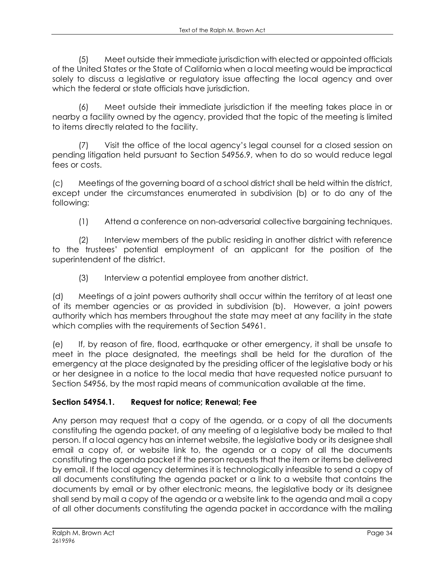(5) Meet outside their immediate jurisdiction with elected or appointed officials of the United States or the State of California when a local meeting would be impractical solely to discuss a legislative or regulatory issue affecting the local agency and over which the federal or state officials have jurisdiction.

(6) Meet outside their immediate jurisdiction if the meeting takes place in or nearby a facility owned by the agency, provided that the topic of the meeting is limited to items directly related to the facility.

(7) Visit the office of the local agency's legal counsel for a closed session on pending litigation held pursuant to Section 54956.9, when to do so would reduce legal fees or costs.

(c) Meetings of the governing board of a school district shall be held within the district, except under the circumstances enumerated in subdivision (b) or to do any of the following:

(1) Attend a conference on non-adversarial collective bargaining techniques.

(2) Interview members of the public residing in another district with reference to the trustees' potential employment of an applicant for the position of the superintendent of the district.

(3) Interview a potential employee from another district.

(d) Meetings of a joint powers authority shall occur within the territory of at least one of its member agencies or as provided in subdivision (b). However, a joint powers authority which has members throughout the state may meet at any facility in the state which complies with the requirements of Section 54961.

(e) If, by reason of fire, flood, earthquake or other emergency, it shall be unsafe to meet in the place designated, the meetings shall be held for the duration of the emergency at the place designated by the presiding officer of the legislative body or his or her designee in a notice to the local media that have requested notice pursuant to Section 54956, by the most rapid means of communication available at the time.

# **Section 54954.1. Request for notice; Renewal; Fee**

Any person may request that a copy of the agenda, or a copy of all the documents constituting the agenda packet, of any meeting of a legislative body be mailed to that person. If a local agency has an internet website, the legislative body or its designee shall email a copy of, or website link to, the agenda or a copy of all the documents constituting the agenda packet if the person requests that the item or items be delivered by email. If the local agency determines it is technologically infeasible to send a copy of all documents constituting the agenda packet or a link to a website that contains the documents by email or by other electronic means, the legislative body or its designee shall send by mail a copy of the agenda or a website link to the agenda and mail a copy of all other documents constituting the agenda packet in accordance with the mailing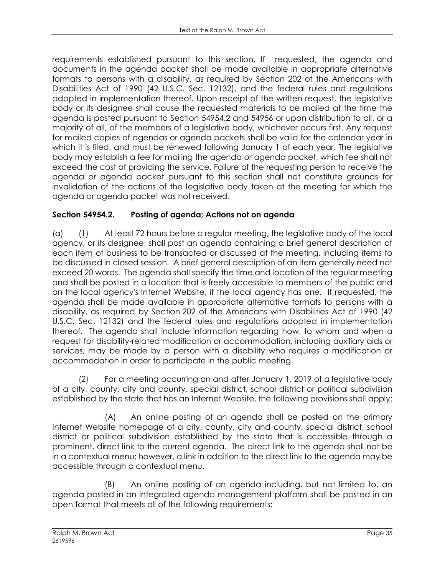requirements established pursuant to this section. If requested, the agenda and documents in the agenda packet shall be made available in appropriate alternative formats to persons with a disability, as required by Section 202 of the Americans with Disabilities Act of 1990 (42 U.S.C. Sec. 12132), and the federal rules and regulations adopted in implementation thereof. Upon receipt of the written request, the legislative body or its designee shall cause the requested materials to be mailed at the time the agenda is posted pursuant to Section 54954.2 and 54956 or upon distribution to all, or a majority of all, of the members of a legislative body, whichever occurs first. Any request for mailed copies of agendas or agenda packets shall be valid for the calendar year in which it is filed, and must be renewed following January 1 of each year. The legislative body may establish a fee for mailing the agenda or agenda packet, which fee shall not exceed the cost of providing the service. Failure of the requesting person to receive the agenda or agenda packet pursuant to this section shall not constitute grounds for invalidation of the actions of the legislative body taken at the meeting for which the agenda or agenda packet was not received.

# **Section 54954.2. Posting of agenda; Actions not on agenda**

(a) (1) At least 72 hours before a regular meeting, the legislative body of the local agency, or its designee, shall post an agenda containing a brief general description of each item of business to be transacted or discussed at the meeting, including items to be discussed in closed session. A brief general description of an item generally need not exceed 20 words. The agenda shall specify the time and location of the regular meeting and shall be posted in a location that is freely accessible to members of the public and on the local agency's Internet Website, if the local agency has one. If requested, the agenda shall be made available in appropriate alternative formats to persons with a disability, as required by Section 202 of the Americans with Disabilities Act of 1990 (42 U.S.C. Sec. 12132) and the federal rules and regulations adopted in implementation thereof. The agenda shall include information regarding how, to whom and when a request for disability-related modification or accommodation, including auxiliary aids or services, may be made by a person with a disability who requires a modification or accommodation in order to participate in the public meeting.

(2) For a meeting occurring on and after January 1, 2019 of a legislative body of a city, county, city and county, special district, school district or political subdivision established by the state that has an Internet Website, the following provisions shall apply:

(A) An online posting of an agenda shall be posted on the primary Internet Website homepage of a city, county, city and county, special district, school district or political subdivision established by the state that is accessible through a prominent, direct link to the current agenda. The direct link to the agenda shall not be in a contextual menu; however, a link in addition to the direct link to the agenda may be accessible through a contextual menu.

(B) An online posting of an agenda including, but not limited to, an agenda posted in an integrated agenda management platform shall be posted in an open format that meets all of the following requirements: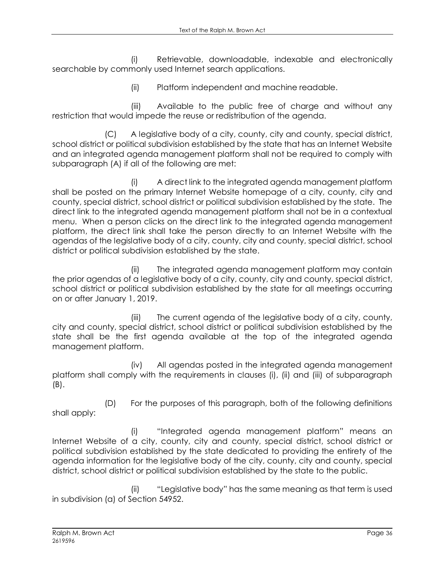(i) Retrievable, downloadable, indexable and electronically searchable by commonly used Internet search applications.

(ii) Platform independent and machine readable.

(iii) Available to the public free of charge and without any restriction that would impede the reuse or redistribution of the agenda.

(C) A legislative body of a city, county, city and county, special district, school district or political subdivision established by the state that has an Internet Website and an integrated agenda management platform shall not be required to comply with subparagraph (A) if all of the following are met:

(i) A direct link to the integrated agenda management platform shall be posted on the primary Internet Website homepage of a city, county, city and county, special district, school district or political subdivision established by the state. The direct link to the integrated agenda management platform shall not be in a contextual menu. When a person clicks on the direct link to the integrated agenda management platform, the direct link shall take the person directly to an Internet Website with the agendas of the legislative body of a city, county, city and county, special district, school district or political subdivision established by the state.

(ii) The integrated agenda management platform may contain the prior agendas of a legislative body of a city, county, city and county, special district, school district or political subdivision established by the state for all meetings occurring on or after January 1, 2019.

(iii) The current agenda of the legislative body of a city, county, city and county, special district, school district or political subdivision established by the state shall be the first agenda available at the top of the integrated agenda management platform.

(iv) All agendas posted in the integrated agenda management platform shall comply with the requirements in clauses (i), (ii) and (iii) of subparagraph (B).

(D) For the purposes of this paragraph, both of the following definitions shall apply:

(i) "Integrated agenda management platform" means an Internet Website of a city, county, city and county, special district, school district or political subdivision established by the state dedicated to providing the entirety of the agenda information for the legislative body of the city, county, city and county, special district, school district or political subdivision established by the state to the public.

(ii) "Legislative body" has the same meaning as that term is used in subdivision (a) of Section 54952.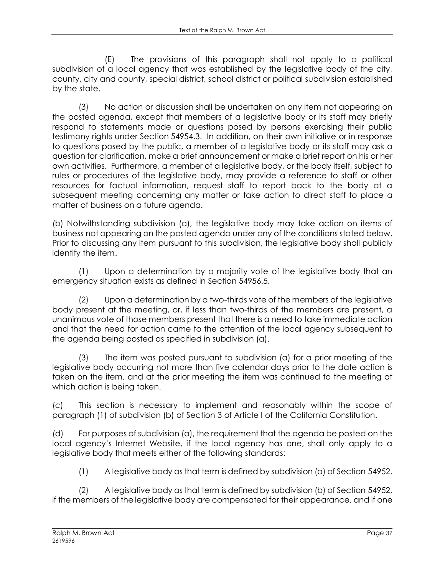(E) The provisions of this paragraph shall not apply to a political subdivision of a local agency that was established by the legislative body of the city, county, city and county, special district, school district or political subdivision established by the state.

(3) No action or discussion shall be undertaken on any item not appearing on the posted agenda, except that members of a legislative body or its staff may briefly respond to statements made or questions posed by persons exercising their public testimony rights under Section 54954.3. In addition, on their own initiative or in response to questions posed by the public, a member of a legislative body or its staff may ask a question for clarification, make a brief announcement or make a brief report on his or her own activities. Furthermore, a member of a legislative body, or the body itself, subject to rules or procedures of the legislative body, may provide a reference to staff or other resources for factual information, request staff to report back to the body at a subsequent meeting concerning any matter or take action to direct staff to place a matter of business on a future agenda.

(b) Notwithstanding subdivision (a), the legislative body may take action on items of business not appearing on the posted agenda under any of the conditions stated below. Prior to discussing any item pursuant to this subdivision, the legislative body shall publicly identify the item.

(1) Upon a determination by a majority vote of the legislative body that an emergency situation exists as defined in Section 54956.5.

(2) Upon a determination by a two-thirds vote of the members of the legislative body present at the meeting, or, if less than two-thirds of the members are present, a unanimous vote of those members present that there is a need to take immediate action and that the need for action came to the attention of the local agency subsequent to the agenda being posted as specified in subdivision (a).

(3) The item was posted pursuant to subdivision (a) for a prior meeting of the legislative body occurring not more than five calendar days prior to the date action is taken on the item, and at the prior meeting the item was continued to the meeting at which action is being taken.

(c) This section is necessary to implement and reasonably within the scope of paragraph (1) of subdivision (b) of Section 3 of Article I of the California Constitution.

(d) For purposes of subdivision (a), the requirement that the agenda be posted on the local agency's Internet Website, if the local agency has one, shall only apply to a legislative body that meets either of the following standards:

(1) A legislative body as that term is defined by subdivision (a) of Section 54952.

(2) A legislative body as that term is defined by subdivision (b) of Section 54952, if the members of the legislative body are compensated for their appearance, and if one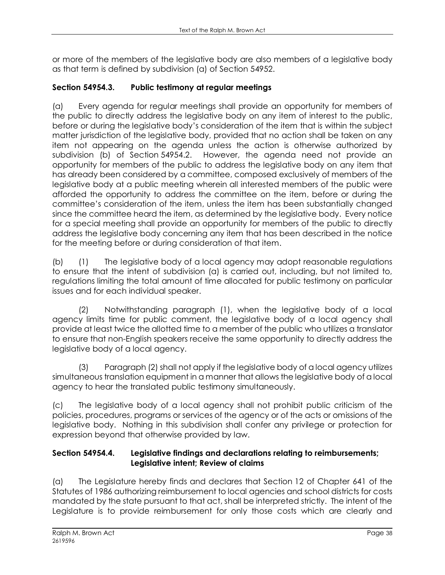or more of the members of the legislative body are also members of a legislative body as that term is defined by subdivision (a) of Section 54952.

## **Section 54954.3. Public testimony at regular meetings**

(a) Every agenda for regular meetings shall provide an opportunity for members of the public to directly address the legislative body on any item of interest to the public, before or during the legislative body's consideration of the item that is within the subject matter jurisdiction of the legislative body, provided that no action shall be taken on any item not appearing on the agenda unless the action is otherwise authorized by subdivision (b) of Section 54954.2. However, the agenda need not provide an opportunity for members of the public to address the legislative body on any item that has already been considered by a committee, composed exclusively of members of the legislative body at a public meeting wherein all interested members of the public were afforded the opportunity to address the committee on the item, before or during the committee's consideration of the item, unless the item has been substantially changed since the committee heard the item, as determined by the legislative body. Every notice for a special meeting shall provide an opportunity for members of the public to directly address the legislative body concerning any item that has been described in the notice for the meeting before or during consideration of that item.

(b) (1) The legislative body of a local agency may adopt reasonable regulations to ensure that the intent of subdivision (a) is carried out, including, but not limited to, regulations limiting the total amount of time allocated for public testimony on particular issues and for each individual speaker.

(2) Notwithstanding paragraph (1), when the legislative body of a local agency limits time for public comment, the legislative body of a local agency shall provide at least twice the allotted time to a member of the public who utilizes a translator to ensure that non-English speakers receive the same opportunity to directly address the legislative body of a local agency.

(3) Paragraph (2) shall not apply if the legislative body of a local agency utilizes simultaneous translation equipment in a manner that allows the legislative body of a local agency to hear the translated public testimony simultaneously.

(c) The legislative body of a local agency shall not prohibit public criticism of the policies, procedures, programs or services of the agency or of the acts or omissions of the legislative body. Nothing in this subdivision shall confer any privilege or protection for expression beyond that otherwise provided by law.

### **Section 54954.4. Legislative findings and declarations relating to reimbursements; Legislative intent; Review of claims**

(a) The Legislature hereby finds and declares that Section 12 of Chapter 641 of the Statutes of 1986 authorizing reimbursement to local agencies and school districts for costs mandated by the state pursuant to that act, shall be interpreted strictly. The intent of the Legislature is to provide reimbursement for only those costs which are clearly and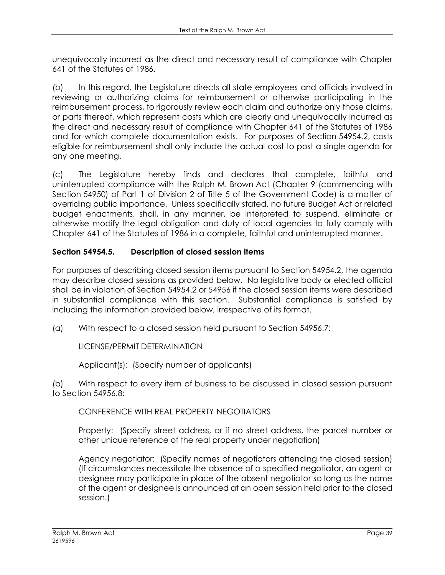unequivocally incurred as the direct and necessary result of compliance with Chapter 641 of the Statutes of 1986.

(b) In this regard, the Legislature directs all state employees and officials involved in reviewing or authorizing claims for reimbursement or otherwise participating in the reimbursement process, to rigorously review each claim and authorize only those claims, or parts thereof, which represent costs which are clearly and unequivocally incurred as the direct and necessary result of compliance with Chapter 641 of the Statutes of 1986 and for which complete documentation exists. For purposes of Section 54954.2, costs eligible for reimbursement shall only include the actual cost to post a single agenda for any one meeting.

(c) The Legislature hereby finds and declares that complete, faithful and uninterrupted compliance with the Ralph M. Brown Act (Chapter 9 (commencing with Section 54950) of Part 1 of Division 2 of Title 5 of the Government Code) is a matter of overriding public importance. Unless specifically stated, no future Budget Act or related budget enactments, shall, in any manner, be interpreted to suspend, eliminate or otherwise modify the legal obligation and duty of local agencies to fully comply with Chapter 641 of the Statutes of 1986 in a complete, faithful and uninterrupted manner.

# **Section 54954.5. Description of closed session items**

For purposes of describing closed session items pursuant to Section 54954.2, the agenda may describe closed sessions as provided below. No legislative body or elected official shall be in violation of Section 54954.2 or 54956 if the closed session items were described in substantial compliance with this section. Substantial compliance is satisfied by including the information provided below, irrespective of its format.

(a) With respect to a closed session held pursuant to Section 54956.7:

# LICENSE/PERMIT DETERMINATION

Applicant(s): (Specify number of applicants)

(b) With respect to every item of business to be discussed in closed session pursuant to Section 54956.8:

CONFERENCE WITH REAL PROPERTY NEGOTIATORS

Property: (Specify street address, or if no street address, the parcel number or other unique reference of the real property under negotiation)

Agency negotiator: (Specify names of negotiators attending the closed session) (If circumstances necessitate the absence of a specified negotiator, an agent or designee may participate in place of the absent negotiator so long as the name of the agent or designee is announced at an open session held prior to the closed session.)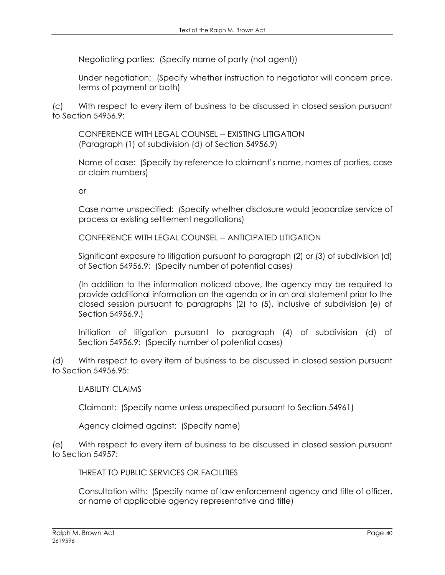Negotiating parties: (Specify name of party (not agent))

Under negotiation: (Specify whether instruction to negotiator will concern price, terms of payment or both)

(c) With respect to every item of business to be discussed in closed session pursuant to Section 54956.9:

CONFERENCE WITH LEGAL COUNSEL -- EXISTING LITIGATION (Paragraph (1) of subdivision (d) of Section 54956.9)

Name of case: (Specify by reference to claimant's name, names of parties, case or claim numbers)

or

Case name unspecified: (Specify whether disclosure would jeopardize service of process or existing settlement negotiations)

CONFERENCE WITH LEGAL COUNSEL -- ANTICIPATED LITIGATION

Significant exposure to litigation pursuant to paragraph (2) or (3) of subdivision (d) of Section 54956.9: (Specify number of potential cases)

(In addition to the information noticed above, the agency may be required to provide additional information on the agenda or in an oral statement prior to the closed session pursuant to paragraphs (2) to (5), inclusive of subdivision (e) of Section 54956.9.)

Initiation of litigation pursuant to paragraph (4) of subdivision (d) of Section 54956.9: (Specify number of potential cases)

(d) With respect to every item of business to be discussed in closed session pursuant to Section 54956.95:

LIABILITY CLAIMS

Claimant: (Specify name unless unspecified pursuant to Section 54961)

Agency claimed against: (Specify name)

(e) With respect to every item of business to be discussed in closed session pursuant to Section 54957:

THREAT TO PUBLIC SERVICES OR FACILITIES

Consultation with: (Specify name of law enforcement agency and title of officer, or name of applicable agency representative and title)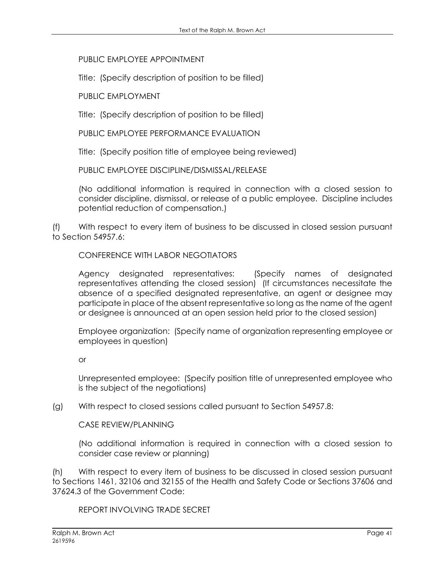### PUBLIC EMPLOYEE APPOINTMENT

Title: (Specify description of position to be filled)

PUBLIC EMPLOYMENT

Title: (Specify description of position to be filled)

PUBLIC EMPLOYEE PERFORMANCE EVALUATION

Title: (Specify position title of employee being reviewed)

PUBLIC EMPLOYEE DISCIPLINE/DISMISSAL/RELEASE

(No additional information is required in connection with a closed session to consider discipline, dismissal, or release of a public employee. Discipline includes potential reduction of compensation.)

(f) With respect to every item of business to be discussed in closed session pursuant to Section 54957.6:

CONFERENCE WITH LABOR NEGOTIATORS

Agency designated representatives: (Specify names of designated representatives attending the closed session) (If circumstances necessitate the absence of a specified designated representative, an agent or designee may participate in place of the absent representative so long as the name of the agent or designee is announced at an open session held prior to the closed session)

Employee organization: (Specify name of organization representing employee or employees in question)

or

Unrepresented employee: (Specify position title of unrepresented employee who is the subject of the negotiations)

(g) With respect to closed sessions called pursuant to Section 54957.8:

CASE REVIEW/PLANNING

(No additional information is required in connection with a closed session to consider case review or planning)

(h) With respect to every item of business to be discussed in closed session pursuant to Sections 1461, 32106 and 32155 of the Health and Safety Code or Sections 37606 and 37624.3 of the Government Code:

REPORT INVOLVING TRADE SECRET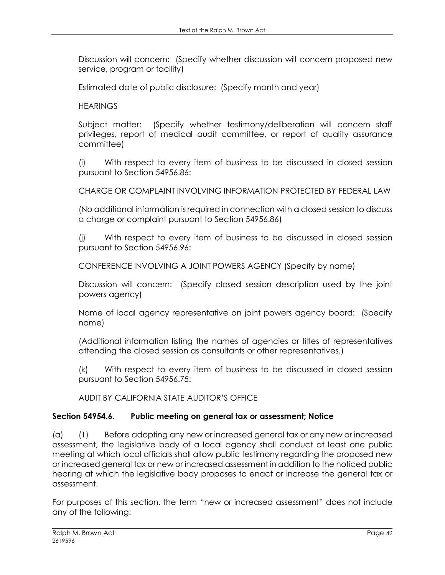Discussion will concern: (Specify whether discussion will concern proposed new service, program or facility)

Estimated date of public disclosure: (Specify month and year)

**HEARINGS** 

Subject matter: (Specify whether testimony/deliberation will concern staff privileges, report of medical audit committee, or report of quality assurance committee)

(i) With respect to every item of business to be discussed in closed session pursuant to Section 54956.86:

CHARGE OR COMPLAINT INVOLVING INFORMATION PROTECTED BY FEDERAL LAW

(No additional information is required in connection with a closed session to discuss a charge or complaint pursuant to Section 54956.86)

(j) With respect to every item of business to be discussed in closed session pursuant to Section 54956.96:

CONFERENCE INVOLVING A JOINT POWERS AGENCY (Specify by name)

Discussion will concern: (Specify closed session description used by the joint powers agency)

Name of local agency representative on joint powers agency board: (Specify name)

(Additional information listing the names of agencies or titles of representatives attending the closed session as consultants or other representatives.)

(k) With respect to every item of business to be discussed in closed session pursuant to Section 54956.75:

AUDIT BY CALIFORNIA STATE AUDITOR'S OFFICE

# **Section 54954.6. Public meeting on general tax or assessment; Notice**

(a) (1) Before adopting any new or increased general tax or any new or increased assessment, the legislative body of a local agency shall conduct at least one public meeting at which local officials shall allow public testimony regarding the proposed new or increased general tax or new or increased assessment in addition to the noticed public hearing at which the legislative body proposes to enact or increase the general tax or assessment.

For purposes of this section, the term "new or increased assessment" does not include any of the following: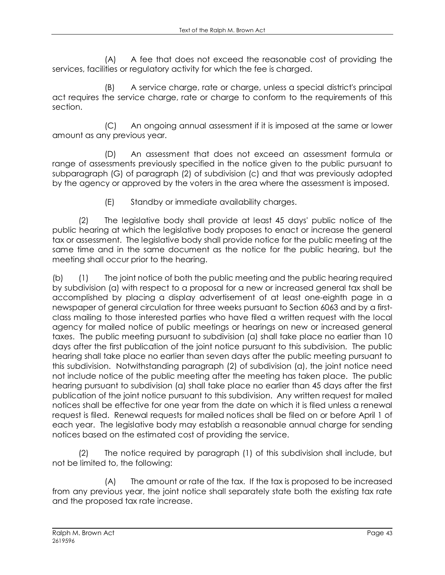(A) A fee that does not exceed the reasonable cost of providing the services, facilities or regulatory activity for which the fee is charged.

(B) A service charge, rate or charge, unless a special district's principal act requires the service charge, rate or charge to conform to the requirements of this section.

(C) An ongoing annual assessment if it is imposed at the same or lower amount as any previous year.

(D) An assessment that does not exceed an assessment formula or range of assessments previously specified in the notice given to the public pursuant to subparagraph (G) of paragraph (2) of subdivision (c) and that was previously adopted by the agency or approved by the voters in the area where the assessment is imposed.

(E) Standby or immediate availability charges.

(2) The legislative body shall provide at least 45 days' public notice of the public hearing at which the legislative body proposes to enact or increase the general tax or assessment. The legislative body shall provide notice for the public meeting at the same time and in the same document as the notice for the public hearing, but the meeting shall occur prior to the hearing.

(b) (1) The joint notice of both the public meeting and the public hearing required by subdivision (a) with respect to a proposal for a new or increased general tax shall be accomplished by placing a display advertisement of at least one-eighth page in a newspaper of general circulation for three weeks pursuant to Section 6063 and by a firstclass mailing to those interested parties who have filed a written request with the local agency for mailed notice of public meetings or hearings on new or increased general taxes. The public meeting pursuant to subdivision (a) shall take place no earlier than 10 days after the first publication of the joint notice pursuant to this subdivision. The public hearing shall take place no earlier than seven days after the public meeting pursuant to this subdivision. Notwithstanding paragraph (2) of subdivision (a), the joint notice need not include notice of the public meeting after the meeting has taken place. The public hearing pursuant to subdivision (a) shall take place no earlier than 45 days after the first publication of the joint notice pursuant to this subdivision. Any written request for mailed notices shall be effective for one year from the date on which it is filed unless a renewal request is filed. Renewal requests for mailed notices shall be filed on or before April 1 of each year. The legislative body may establish a reasonable annual charge for sending notices based on the estimated cost of providing the service.

(2) The notice required by paragraph (1) of this subdivision shall include, but not be limited to, the following:

(A) The amount or rate of the tax. If the tax is proposed to be increased from any previous year, the joint notice shall separately state both the existing tax rate and the proposed tax rate increase.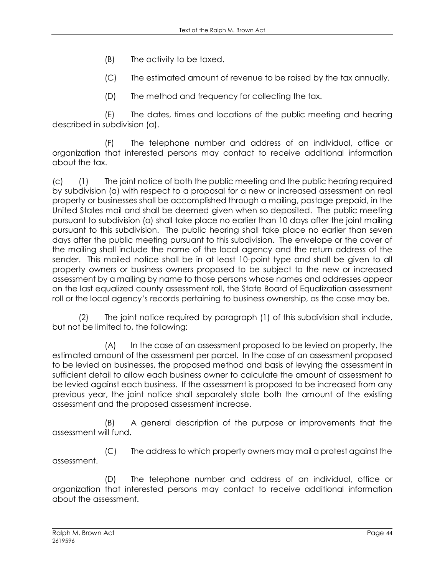- (B) The activity to be taxed.
- (C) The estimated amount of revenue to be raised by the tax annually.
- (D) The method and frequency for collecting the tax.

(E) The dates, times and locations of the public meeting and hearing described in subdivision (a).

(F) The telephone number and address of an individual, office or organization that interested persons may contact to receive additional information about the tax.

(c) (1) The joint notice of both the public meeting and the public hearing required by subdivision (a) with respect to a proposal for a new or increased assessment on real property or businesses shall be accomplished through a mailing, postage prepaid, in the United States mail and shall be deemed given when so deposited. The public meeting pursuant to subdivision (a) shall take place no earlier than 10 days after the joint mailing pursuant to this subdivision. The public hearing shall take place no earlier than seven days after the public meeting pursuant to this subdivision. The envelope or the cover of the mailing shall include the name of the local agency and the return address of the sender. This mailed notice shall be in at least 10-point type and shall be given to all property owners or business owners proposed to be subject to the new or increased assessment by a mailing by name to those persons whose names and addresses appear on the last equalized county assessment roll, the State Board of Equalization assessment roll or the local agency's records pertaining to business ownership, as the case may be.

(2) The joint notice required by paragraph (1) of this subdivision shall include, but not be limited to, the following:

(A) In the case of an assessment proposed to be levied on property, the estimated amount of the assessment per parcel. In the case of an assessment proposed to be levied on businesses, the proposed method and basis of levying the assessment in sufficient detail to allow each business owner to calculate the amount of assessment to be levied against each business. If the assessment is proposed to be increased from any previous year, the joint notice shall separately state both the amount of the existing assessment and the proposed assessment increase.

(B) A general description of the purpose or improvements that the assessment will fund.

(C) The address to which property owners may mail a protest against the assessment.

(D) The telephone number and address of an individual, office or organization that interested persons may contact to receive additional information about the assessment.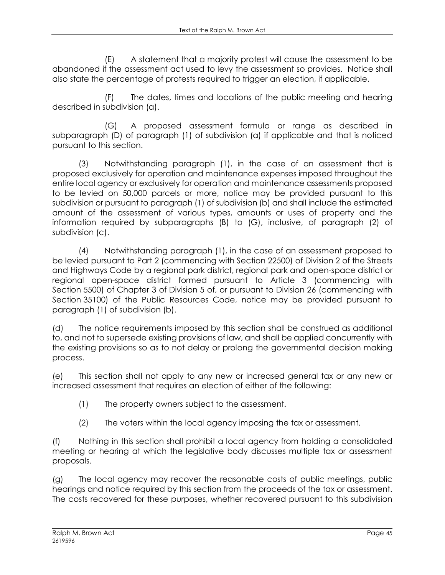(E) A statement that a majority protest will cause the assessment to be abandoned if the assessment act used to levy the assessment so provides. Notice shall also state the percentage of protests required to trigger an election, if applicable.

(F) The dates, times and locations of the public meeting and hearing described in subdivision (a).

(G) A proposed assessment formula or range as described in subparagraph (D) of paragraph (1) of subdivision (a) if applicable and that is noticed pursuant to this section.

(3) Notwithstanding paragraph (1), in the case of an assessment that is proposed exclusively for operation and maintenance expenses imposed throughout the entire local agency or exclusively for operation and maintenance assessments proposed to be levied on 50,000 parcels or more, notice may be provided pursuant to this subdivision or pursuant to paragraph (1) of subdivision (b) and shall include the estimated amount of the assessment of various types, amounts or uses of property and the information required by subparagraphs (B) to (G), inclusive, of paragraph (2) of subdivision (c).

(4) Notwithstanding paragraph (1), in the case of an assessment proposed to be levied pursuant to Part 2 (commencing with Section 22500) of Division 2 of the Streets and Highways Code by a regional park district, regional park and open-space district or regional open-space district formed pursuant to Article 3 (commencing with Section 5500) of Chapter 3 of Division 5 of, or pursuant to Division 26 (commencing with Section 35100) of the Public Resources Code, notice may be provided pursuant to paragraph (1) of subdivision (b).

(d) The notice requirements imposed by this section shall be construed as additional to, and not to supersede existing provisions of law, and shall be applied concurrently with the existing provisions so as to not delay or prolong the governmental decision making process.

(e) This section shall not apply to any new or increased general tax or any new or increased assessment that requires an election of either of the following:

- (1) The property owners subject to the assessment.
- (2) The voters within the local agency imposing the tax or assessment.

(f) Nothing in this section shall prohibit a local agency from holding a consolidated meeting or hearing at which the legislative body discusses multiple tax or assessment proposals.

(g) The local agency may recover the reasonable costs of public meetings, public hearings and notice required by this section from the proceeds of the tax or assessment. The costs recovered for these purposes, whether recovered pursuant to this subdivision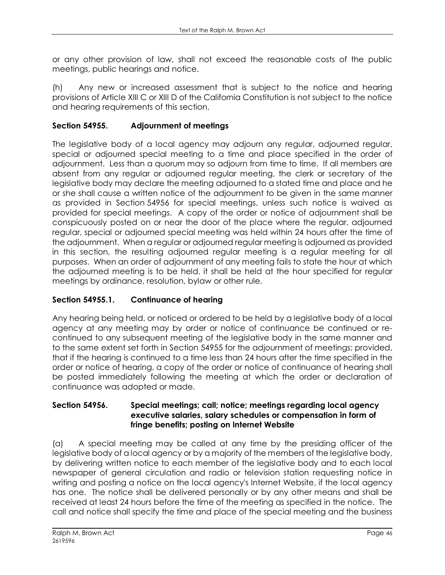or any other provision of law, shall not exceed the reasonable costs of the public meetings, public hearings and notice.

(h) Any new or increased assessment that is subject to the notice and hearing provisions of Article XIII C or XIII D of the California Constitution is not subject to the notice and hearing requirements of this section.

# **Section 54955. Adjournment of meetings**

The legislative body of a local agency may adjourn any regular, adjourned regular, special or adjourned special meeting to a time and place specified in the order of adjournment. Less than a quorum may so adjourn from time to time. If all members are absent from any regular or adjourned regular meeting, the clerk or secretary of the legislative body may declare the meeting adjourned to a stated time and place and he or she shall cause a written notice of the adjournment to be given in the same manner as provided in Section 54956 for special meetings, unless such notice is waived as provided for special meetings. A copy of the order or notice of adjournment shall be conspicuously posted on or near the door of the place where the regular, adjourned regular, special or adjourned special meeting was held within 24 hours after the time of the adjournment. When a regular or adjourned regular meeting is adjourned as provided in this section, the resulting adjourned regular meeting is a regular meeting for all purposes. When an order of adjournment of any meeting fails to state the hour at which the adjourned meeting is to be held, it shall be held at the hour specified for regular meetings by ordinance, resolution, bylaw or other rule.

# **Section 54955.1. Continuance of hearing**

Any hearing being held, or noticed or ordered to be held by a legislative body of a local agency at any meeting may by order or notice of continuance be continued or recontinued to any subsequent meeting of the legislative body in the same manner and to the same extent set forth in Section 54955 for the adjournment of meetings; provided, that if the hearing is continued to a time less than 24 hours after the time specified in the order or notice of hearing, a copy of the order or notice of continuance of hearing shall be posted immediately following the meeting at which the order or declaration of continuance was adopted or made.

### **Section 54956. Special meetings; call; notice; meetings regarding local agency executive salaries, salary schedules or compensation in form of fringe benefits; posting on Internet Website**

(a) A special meeting may be called at any time by the presiding officer of the legislative body of a local agency or by a majority of the members of the legislative body, by delivering written notice to each member of the legislative body and to each local newspaper of general circulation and radio or television station requesting notice in writing and posting a notice on the local agency's Internet Website, if the local agency has one. The notice shall be delivered personally or by any other means and shall be received at least 24 hours before the time of the meeting as specified in the notice. The call and notice shall specify the time and place of the special meeting and the business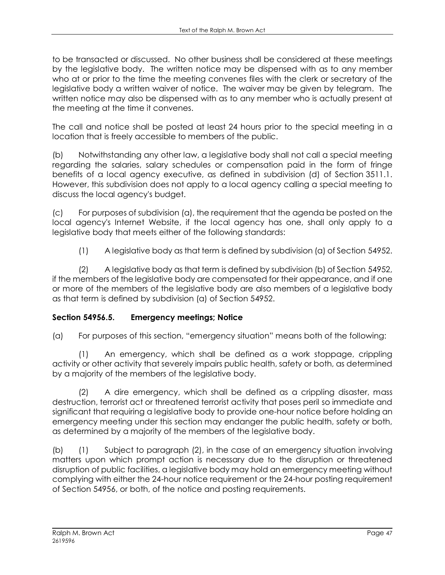to be transacted or discussed. No other business shall be considered at these meetings by the legislative body. The written notice may be dispensed with as to any member who at or prior to the time the meeting convenes files with the clerk or secretary of the legislative body a written waiver of notice. The waiver may be given by telegram. The written notice may also be dispensed with as to any member who is actually present at the meeting at the time it convenes.

The call and notice shall be posted at least 24 hours prior to the special meeting in a location that is freely accessible to members of the public.

(b) Notwithstanding any other law, a legislative body shall not call a special meeting regarding the salaries, salary schedules or compensation paid in the form of fringe benefits of a local agency executive, as defined in subdivision (d) of Section 3511.1. However, this subdivision does not apply to a local agency calling a special meeting to discuss the local agency's budget.

(c) For purposes of subdivision (a), the requirement that the agenda be posted on the local agency's Internet Website, if the local agency has one, shall only apply to a legislative body that meets either of the following standards:

(1) A legislative body as that term is defined by subdivision (a) of Section 54952.

(2) A legislative body as that term is defined by subdivision (b) of Section 54952, if the members of the legislative body are compensated for their appearance, and if one or more of the members of the legislative body are also members of a legislative body as that term is defined by subdivision (a) of Section 54952.

# **Section 54956.5. Emergency meetings; Notice**

(a) For purposes of this section, "emergency situation" means both of the following:

(1) An emergency, which shall be defined as a work stoppage, crippling activity or other activity that severely impairs public health, safety or both, as determined by a majority of the members of the legislative body.

(2) A dire emergency, which shall be defined as a crippling disaster, mass destruction, terrorist act or threatened terrorist activity that poses peril so immediate and significant that requiring a legislative body to provide one-hour notice before holding an emergency meeting under this section may endanger the public health, safety or both, as determined by a majority of the members of the legislative body.

(b) (1) Subject to paragraph (2), in the case of an emergency situation involving matters upon which prompt action is necessary due to the disruption or threatened disruption of public facilities, a legislative body may hold an emergency meeting without complying with either the 24-hour notice requirement or the 24-hour posting requirement of Section 54956, or both, of the notice and posting requirements.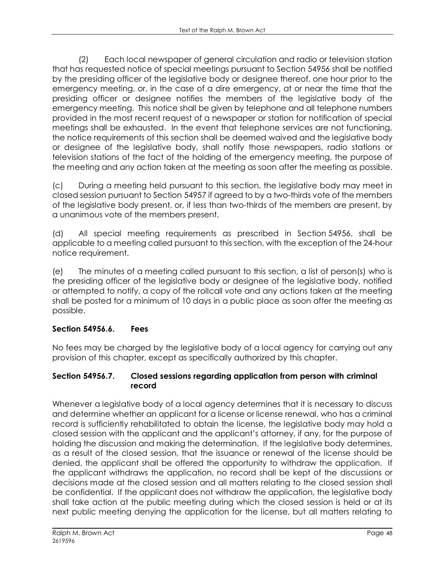(2) Each local newspaper of general circulation and radio or television station that has requested notice of special meetings pursuant to Section 54956 shall be notified by the presiding officer of the legislative body or designee thereof, one hour prior to the emergency meeting, or, in the case of a dire emergency, at or near the time that the presiding officer or designee notifies the members of the legislative body of the emergency meeting. This notice shall be given by telephone and all telephone numbers provided in the most recent request of a newspaper or station for notification of special meetings shall be exhausted. In the event that telephone services are not functioning, the notice requirements of this section shall be deemed waived and the legislative body or designee of the legislative body, shall notify those newspapers, radio stations or television stations of the fact of the holding of the emergency meeting, the purpose of the meeting and any action taken at the meeting as soon after the meeting as possible.

(c) During a meeting held pursuant to this section, the legislative body may meet in closed session pursuant to Section 54957 if agreed to by a two-thirds vote of the members of the legislative body present, or, if less than two-thirds of the members are present, by a unanimous vote of the members present.

(d) All special meeting requirements as prescribed in Section 54956, shall be applicable to a meeting called pursuant to this section, with the exception of the 24-hour notice requirement.

(e) The minutes of a meeting called pursuant to this section, a list of person(s) who is the presiding officer of the legislative body or designee of the legislative body, notified or attempted to notify, a copy of the rollcall vote and any actions taken at the meeting shall be posted for a minimum of 10 days in a public place as soon after the meeting as possible.

# **Section 54956.6. Fees**

No fees may be charged by the legislative body of a local agency for carrying out any provision of this chapter, except as specifically authorized by this chapter.

## **Section 54956.7. Closed sessions regarding application from person with criminal record**

Whenever a legislative body of a local agency determines that it is necessary to discuss and determine whether an applicant for a license or license renewal, who has a criminal record is sufficiently rehabilitated to obtain the license, the legislative body may hold a closed session with the applicant and the applicant's attorney, if any, for the purpose of holding the discussion and making the determination. If the legislative body determines, as a result of the closed session, that the issuance or renewal of the license should be denied, the applicant shall be offered the opportunity to withdraw the application. If the applicant withdraws the application, no record shall be kept of the discussions or decisions made at the closed session and all matters relating to the closed session shall be confidential. If the applicant does not withdraw the application, the legislative body shall take action at the public meeting during which the closed session is held or at its next public meeting denying the application for the license, but all matters relating to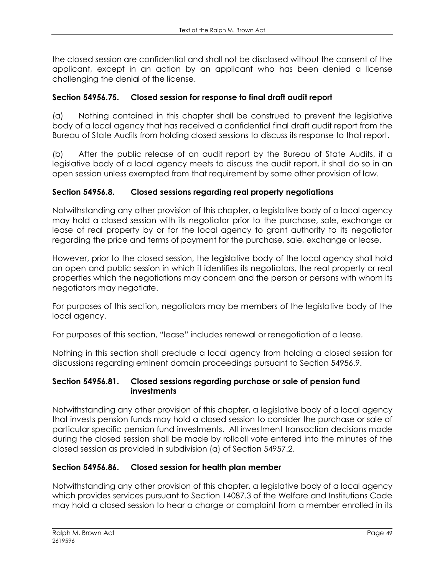the closed session are confidential and shall not be disclosed without the consent of the applicant, except in an action by an applicant who has been denied a license challenging the denial of the license.

## **Section 54956.75. Closed session for response to final draft audit report**

(a) Nothing contained in this chapter shall be construed to prevent the legislative body of a local agency that has received a confidential final draft audit report from the Bureau of State Audits from holding closed sessions to discuss its response to that report.

(b) After the public release of an audit report by the Bureau of State Audits, if a legislative body of a local agency meets to discuss the audit report, it shall do so in an open session unless exempted from that requirement by some other provision of law.

### **Section 54956.8. Closed sessions regarding real property negotiations**

Notwithstanding any other provision of this chapter, a legislative body of a local agency may hold a closed session with its negotiator prior to the purchase, sale, exchange or lease of real property by or for the local agency to grant authority to its negotiator regarding the price and terms of payment for the purchase, sale, exchange or lease.

However, prior to the closed session, the legislative body of the local agency shall hold an open and public session in which it identifies its negotiators, the real property or real properties which the negotiations may concern and the person or persons with whom its negotiators may negotiate.

For purposes of this section, negotiators may be members of the legislative body of the local agency.

For purposes of this section, "lease" includes renewal or renegotiation of a lease.

Nothing in this section shall preclude a local agency from holding a closed session for discussions regarding eminent domain proceedings pursuant to Section 54956.9.

### **Section 54956.81. Closed sessions regarding purchase or sale of pension fund investments**

Notwithstanding any other provision of this chapter, a legislative body of a local agency that invests pension funds may hold a closed session to consider the purchase or sale of particular specific pension fund investments. All investment transaction decisions made during the closed session shall be made by rollcall vote entered into the minutes of the closed session as provided in subdivision (a) of Section 54957.2.

# **Section 54956.86. Closed session for health plan member**

Notwithstanding any other provision of this chapter, a legislative body of a local agency which provides services pursuant to Section 14087.3 of the Welfare and Institutions Code may hold a closed session to hear a charge or complaint from a member enrolled in its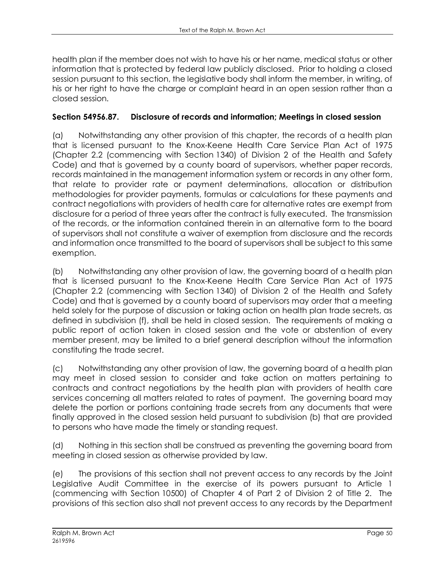health plan if the member does not wish to have his or her name, medical status or other information that is protected by federal law publicly disclosed. Prior to holding a closed session pursuant to this section, the legislative body shall inform the member, in writing, of his or her right to have the charge or complaint heard in an open session rather than a closed session.

## **Section 54956.87. Disclosure of records and information; Meetings in closed session**

(a) Notwithstanding any other provision of this chapter, the records of a health plan that is licensed pursuant to the Knox-Keene Health Care Service Plan Act of 1975 (Chapter 2.2 (commencing with Section 1340) of Division 2 of the Health and Safety Code) and that is governed by a county board of supervisors, whether paper records, records maintained in the management information system or records in any other form, that relate to provider rate or payment determinations, allocation or distribution methodologies for provider payments, formulas or calculations for these payments and contract negotiations with providers of health care for alternative rates are exempt from disclosure for a period of three years after the contract is fully executed. The transmission of the records, or the information contained therein in an alternative form to the board of supervisors shall not constitute a waiver of exemption from disclosure and the records and information once transmitted to the board of supervisors shall be subject to this same exemption.

(b) Notwithstanding any other provision of law, the governing board of a health plan that is licensed pursuant to the Knox-Keene Health Care Service Plan Act of 1975 (Chapter 2.2 (commencing with Section 1340) of Division 2 of the Health and Safety Code) and that is governed by a county board of supervisors may order that a meeting held solely for the purpose of discussion or taking action on health plan trade secrets, as defined in subdivision (f), shall be held in closed session. The requirements of making a public report of action taken in closed session and the vote or abstention of every member present, may be limited to a brief general description without the information constituting the trade secret.

(c) Notwithstanding any other provision of law, the governing board of a health plan may meet in closed session to consider and take action on matters pertaining to contracts and contract negotiations by the health plan with providers of health care services concerning all matters related to rates of payment. The governing board may delete the portion or portions containing trade secrets from any documents that were finally approved in the closed session held pursuant to subdivision (b) that are provided to persons who have made the timely or standing request.

(d) Nothing in this section shall be construed as preventing the governing board from meeting in closed session as otherwise provided by law.

(e) The provisions of this section shall not prevent access to any records by the Joint Legislative Audit Committee in the exercise of its powers pursuant to Article 1 (commencing with Section 10500) of Chapter 4 of Part 2 of Division 2 of Title 2. The provisions of this section also shall not prevent access to any records by the Department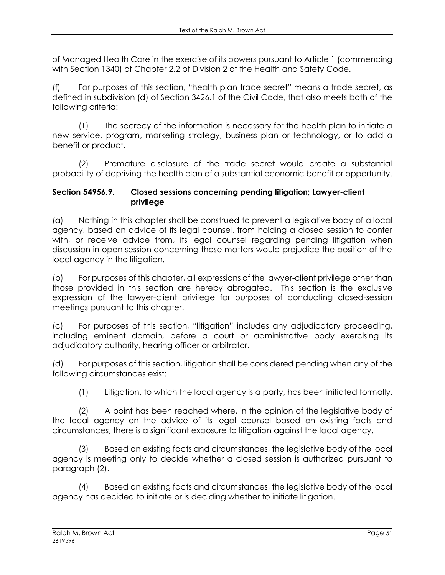of Managed Health Care in the exercise of its powers pursuant to Article 1 (commencing with Section 1340) of Chapter 2.2 of Division 2 of the Health and Safety Code.

(f) For purposes of this section, "health plan trade secret" means a trade secret, as defined in subdivision (d) of Section 3426.1 of the Civil Code, that also meets both of the following criteria:

(1) The secrecy of the information is necessary for the health plan to initiate a new service, program, marketing strategy, business plan or technology, or to add a benefit or product.

(2) Premature disclosure of the trade secret would create a substantial probability of depriving the health plan of a substantial economic benefit or opportunity.

### **Section 54956.9. Closed sessions concerning pending litigation; Lawyer-client privilege**

(a) Nothing in this chapter shall be construed to prevent a legislative body of a local agency, based on advice of its legal counsel, from holding a closed session to confer with, or receive advice from, its legal counsel regarding pending litigation when discussion in open session concerning those matters would prejudice the position of the local agency in the litigation.

(b) For purposes of this chapter, all expressions of the lawyer-client privilege other than those provided in this section are hereby abrogated. This section is the exclusive expression of the lawyer-client privilege for purposes of conducting closed-session meetings pursuant to this chapter.

(c) For purposes of this section, "litigation" includes any adjudicatory proceeding, including eminent domain, before a court or administrative body exercising its adjudicatory authority, hearing officer or arbitrator.

(d) For purposes of this section, litigation shall be considered pending when any of the following circumstances exist:

(1) Litigation, to which the local agency is a party, has been initiated formally.

(2) A point has been reached where, in the opinion of the legislative body of the local agency on the advice of its legal counsel based on existing facts and circumstances, there is a significant exposure to litigation against the local agency.

(3) Based on existing facts and circumstances, the legislative body of the local agency is meeting only to decide whether a closed session is authorized pursuant to paragraph (2).

(4) Based on existing facts and circumstances, the legislative body of the local agency has decided to initiate or is deciding whether to initiate litigation.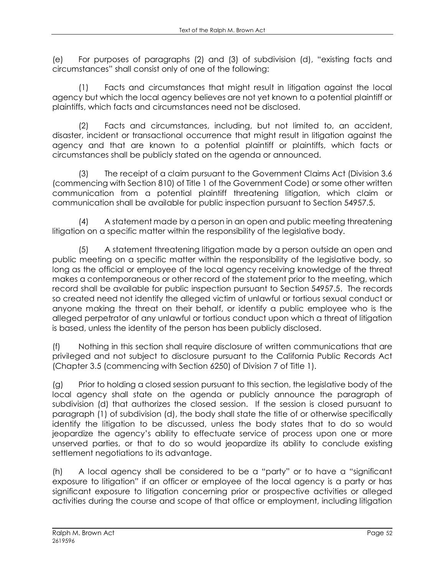(e) For purposes of paragraphs (2) and (3) of subdivision (d), "existing facts and circumstances" shall consist only of one of the following:

(1) Facts and circumstances that might result in litigation against the local agency but which the local agency believes are not yet known to a potential plaintiff or plaintiffs, which facts and circumstances need not be disclosed.

(2) Facts and circumstances, including, but not limited to, an accident, disaster, incident or transactional occurrence that might result in litigation against the agency and that are known to a potential plaintiff or plaintiffs, which facts or circumstances shall be publicly stated on the agenda or announced.

(3) The receipt of a claim pursuant to the Government Claims Act (Division 3.6 (commencing with Section 810) of Title 1 of the Government Code) or some other written communication from a potential plaintiff threatening litigation, which claim or communication shall be available for public inspection pursuant to Section 54957.5.

(4) A statement made by a person in an open and public meeting threatening litigation on a specific matter within the responsibility of the legislative body.

(5) A statement threatening litigation made by a person outside an open and public meeting on a specific matter within the responsibility of the legislative body, so long as the official or employee of the local agency receiving knowledge of the threat makes a contemporaneous or other record of the statement prior to the meeting, which record shall be available for public inspection pursuant to Section 54957.5. The records so created need not identify the alleged victim of unlawful or tortious sexual conduct or anyone making the threat on their behalf, or identify a public employee who is the alleged perpetrator of any unlawful or tortious conduct upon which a threat of litigation is based, unless the identity of the person has been publicly disclosed.

(f) Nothing in this section shall require disclosure of written communications that are privileged and not subject to disclosure pursuant to the California Public Records Act (Chapter 3.5 (commencing with Section 6250) of Division 7 of Title 1).

(g) Prior to holding a closed session pursuant to this section, the legislative body of the local agency shall state on the agenda or publicly announce the paragraph of subdivision (d) that authorizes the closed session. If the session is closed pursuant to paragraph (1) of subdivision (d), the body shall state the title of or otherwise specifically identify the litigation to be discussed, unless the body states that to do so would jeopardize the agency's ability to effectuate service of process upon one or more unserved parties, or that to do so would jeopardize its ability to conclude existing settlement negotiations to its advantage.

(h) A local agency shall be considered to be a "party" or to have a "significant exposure to litigation" if an officer or employee of the local agency is a party or has significant exposure to litigation concerning prior or prospective activities or alleged activities during the course and scope of that office or employment, including litigation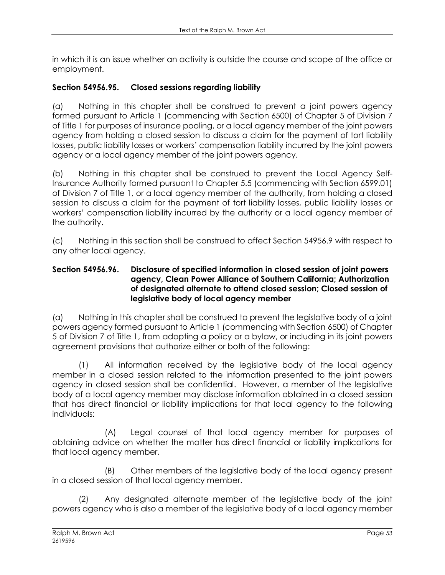in which it is an issue whether an activity is outside the course and scope of the office or employment.

## **Section 54956.95. Closed sessions regarding liability**

(a) Nothing in this chapter shall be construed to prevent a joint powers agency formed pursuant to Article 1 (commencing with Section 6500) of Chapter 5 of Division 7 of Title 1 for purposes of insurance pooling, or a local agency member of the joint powers agency from holding a closed session to discuss a claim for the payment of tort liability losses, public liability losses or workers' compensation liability incurred by the joint powers agency or a local agency member of the joint powers agency.

(b) Nothing in this chapter shall be construed to prevent the Local Agency Self-Insurance Authority formed pursuant to Chapter 5.5 (commencing with Section 6599.01) of Division 7 of Title 1, or a local agency member of the authority, from holding a closed session to discuss a claim for the payment of tort liability losses, public liability losses or workers' compensation liability incurred by the authority or a local agency member of the authority.

(c) Nothing in this section shall be construed to affect Section 54956.9 with respect to any other local agency.

#### **Section 54956.96. Disclosure of specified information in closed session of joint powers agency, Clean Power Alliance of Southern California; Authorization of designated alternate to attend closed session; Closed session of legislative body of local agency member**

(a) Nothing in this chapter shall be construed to prevent the legislative body of a joint powers agency formed pursuant to Article 1 (commencing with Section 6500) of Chapter 5 of Division 7 of Title 1, from adopting a policy or a bylaw, or including in its joint powers agreement provisions that authorize either or both of the following:

(1) All information received by the legislative body of the local agency member in a closed session related to the information presented to the joint powers agency in closed session shall be confidential. However, a member of the legislative body of a local agency member may disclose information obtained in a closed session that has direct financial or liability implications for that local agency to the following individuals:

(A) Legal counsel of that local agency member for purposes of obtaining advice on whether the matter has direct financial or liability implications for that local agency member.

(B) Other members of the legislative body of the local agency present in a closed session of that local agency member.

(2) Any designated alternate member of the legislative body of the joint powers agency who is also a member of the legislative body of a local agency member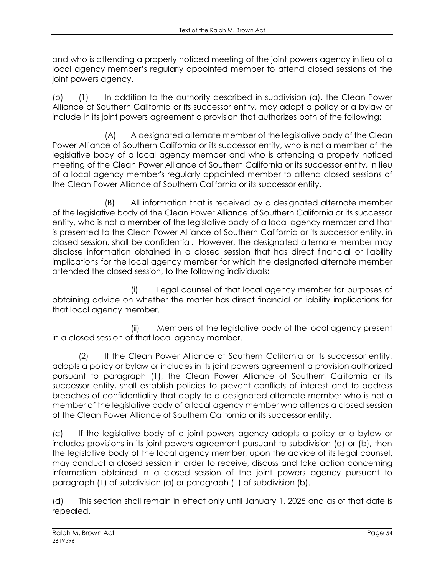and who is attending a properly noticed meeting of the joint powers agency in lieu of a local agency member's regularly appointed member to attend closed sessions of the joint powers agency.

(b) (1) In addition to the authority described in subdivision (a), the Clean Power Alliance of Southern California or its successor entity, may adopt a policy or a bylaw or include in its joint powers agreement a provision that authorizes both of the following:

(A) A designated alternate member of the legislative body of the Clean Power Alliance of Southern California or its successor entity, who is not a member of the legislative body of a local agency member and who is attending a properly noticed meeting of the Clean Power Alliance of Southern California or its successor entity, in lieu of a local agency member's regularly appointed member to attend closed sessions of the Clean Power Alliance of Southern California or its successor entity.

(B) All information that is received by a designated alternate member of the legislative body of the Clean Power Alliance of Southern California or its successor entity, who is not a member of the legislative body of a local agency member and that is presented to the Clean Power Alliance of Southern California or its successor entity, in closed session, shall be confidential. However, the designated alternate member may disclose information obtained in a closed session that has direct financial or liability implications for the local agency member for which the designated alternate member attended the closed session, to the following individuals:

(i) Legal counsel of that local agency member for purposes of obtaining advice on whether the matter has direct financial or liability implications for that local agency member.

(ii) Members of the legislative body of the local agency present in a closed session of that local agency member.

(2) If the Clean Power Alliance of Southern California or its successor entity, adopts a policy or bylaw or includes in its joint powers agreement a provision authorized pursuant to paragraph (1), the Clean Power Alliance of Southern California or its successor entity, shall establish policies to prevent conflicts of interest and to address breaches of confidentiality that apply to a designated alternate member who is not a member of the legislative body of a local agency member who attends a closed session of the Clean Power Alliance of Southern California or its successor entity.

(c) If the legislative body of a joint powers agency adopts a policy or a bylaw or includes provisions in its joint powers agreement pursuant to subdivision (a) or (b), then the legislative body of the local agency member, upon the advice of its legal counsel, may conduct a closed session in order to receive, discuss and take action concerning information obtained in a closed session of the joint powers agency pursuant to paragraph (1) of subdivision (a) or paragraph (1) of subdivision (b).

(d) This section shall remain in effect only until January 1, 2025 and as of that date is repealed.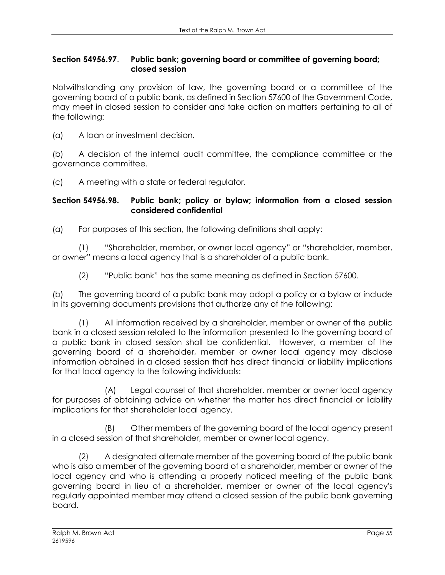### **Section 54956.97**. **Public bank; governing board or committee of governing board; closed session**

Notwithstanding any provision of law, the governing board or a committee of the governing board of a public bank, as defined in Section 57600 of the Government Code, may meet in closed session to consider and take action on matters pertaining to all of the following:

(a) A loan or investment decision.

(b) A decision of the internal audit committee, the compliance committee or the governance committee.

(c) A meeting with a state or federal regulator.

#### **Section 54956.98. Public bank; policy or bylaw; information from a closed session considered confidential**

(a) For purposes of this section, the following definitions shall apply:

(1) "Shareholder, member, or owner local agency" or "shareholder, member, or owner" means a local agency that is a shareholder of a public bank.

(2) "Public bank" has the same meaning as defined in Section 57600.

(b) The governing board of a public bank may adopt a policy or a bylaw or include in its governing documents provisions that authorize any of the following:

(1) All information received by a shareholder, member or owner of the public bank in a closed session related to the information presented to the governing board of a public bank in closed session shall be confidential. However, a member of the governing board of a shareholder, member or owner local agency may disclose information obtained in a closed session that has direct financial or liability implications for that local agency to the following individuals:

(A) Legal counsel of that shareholder, member or owner local agency for purposes of obtaining advice on whether the matter has direct financial or liability implications for that shareholder local agency.

(B) Other members of the governing board of the local agency present in a closed session of that shareholder, member or owner local agency.

(2) A designated alternate member of the governing board of the public bank who is also a member of the governing board of a shareholder, member or owner of the local agency and who is attending a properly noticed meeting of the public bank governing board in lieu of a shareholder, member or owner of the local agency's regularly appointed member may attend a closed session of the public bank governing board.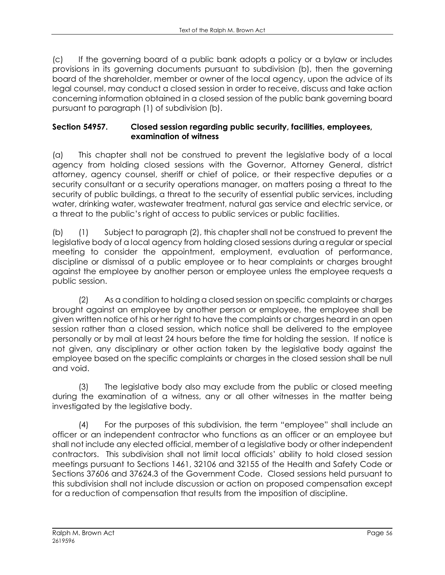(c) If the governing board of a public bank adopts a policy or a bylaw or includes provisions in its governing documents pursuant to subdivision (b), then the governing board of the shareholder, member or owner of the local agency, upon the advice of its legal counsel, may conduct a closed session in order to receive, discuss and take action concerning information obtained in a closed session of the public bank governing board pursuant to paragraph (1) of subdivision (b).

### **Section 54957. Closed session regarding public security, facilities, employees, examination of witness**

(a) This chapter shall not be construed to prevent the legislative body of a local agency from holding closed sessions with the Governor, Attorney General, district attorney, agency counsel, sheriff or chief of police, or their respective deputies or a security consultant or a security operations manager, on matters posing a threat to the security of public buildings, a threat to the security of essential public services, including water, drinking water, wastewater treatment, natural gas service and electric service, or a threat to the public's right of access to public services or public facilities.

(b) (1) Subject to paragraph (2), this chapter shall not be construed to prevent the legislative body of a local agency from holding closed sessions during a regular or special meeting to consider the appointment, employment, evaluation of performance, discipline or dismissal of a public employee or to hear complaints or charges brought against the employee by another person or employee unless the employee requests a public session.

(2) As a condition to holding a closed session on specific complaints or charges brought against an employee by another person or employee, the employee shall be given written notice of his or her right to have the complaints or charges heard in an open session rather than a closed session, which notice shall be delivered to the employee personally or by mail at least 24 hours before the time for holding the session. If notice is not given, any disciplinary or other action taken by the legislative body against the employee based on the specific complaints or charges in the closed session shall be null and void.

(3) The legislative body also may exclude from the public or closed meeting during the examination of a witness, any or all other witnesses in the matter being investigated by the legislative body.

(4) For the purposes of this subdivision, the term "employee" shall include an officer or an independent contractor who functions as an officer or an employee but shall not include any elected official, member of a legislative body or other independent contractors. This subdivision shall not limit local officials' ability to hold closed session meetings pursuant to Sections 1461, 32106 and 32155 of the Health and Safety Code or Sections 37606 and 37624.3 of the Government Code. Closed sessions held pursuant to this subdivision shall not include discussion or action on proposed compensation except for a reduction of compensation that results from the imposition of discipline.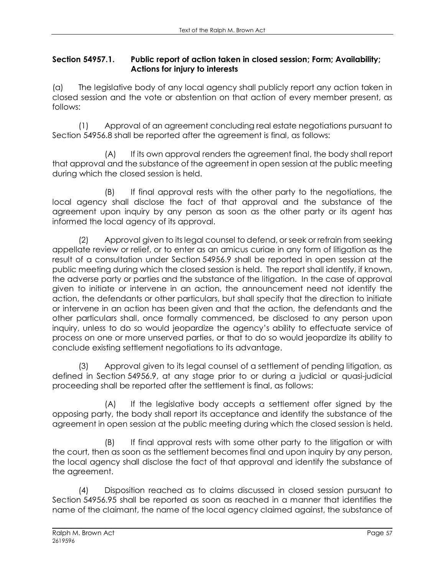## **Section 54957.1. Public report of action taken in closed session; Form; Availability; Actions for injury to interests**

(a) The legislative body of any local agency shall publicly report any action taken in closed session and the vote or abstention on that action of every member present, as follows:

(1) Approval of an agreement concluding real estate negotiations pursuant to Section 54956.8 shall be reported after the agreement is final, as follows:

(A) If its own approval renders the agreement final, the body shall report that approval and the substance of the agreement in open session at the public meeting during which the closed session is held.

(B) If final approval rests with the other party to the negotiations, the local agency shall disclose the fact of that approval and the substance of the agreement upon inquiry by any person as soon as the other party or its agent has informed the local agency of its approval.

(2) Approval given to its legal counsel to defend, or seek or refrain from seeking appellate review or relief, or to enter as an amicus curiae in any form of litigation as the result of a consultation under Section 54956.9 shall be reported in open session at the public meeting during which the closed session is held. The report shall identify, if known, the adverse party or parties and the substance of the litigation. In the case of approval given to initiate or intervene in an action, the announcement need not identify the action, the defendants or other particulars, but shall specify that the direction to initiate or intervene in an action has been given and that the action, the defendants and the other particulars shall, once formally commenced, be disclosed to any person upon inquiry, unless to do so would jeopardize the agency's ability to effectuate service of process on one or more unserved parties, or that to do so would jeopardize its ability to conclude existing settlement negotiations to its advantage.

(3) Approval given to its legal counsel of a settlement of pending litigation, as defined in Section 54956.9, at any stage prior to or during a judicial or quasi-judicial proceeding shall be reported after the settlement is final, as follows:

(A) If the legislative body accepts a settlement offer signed by the opposing party, the body shall report its acceptance and identify the substance of the agreement in open session at the public meeting during which the closed session is held.

(B) If final approval rests with some other party to the litigation or with the court, then as soon as the settlement becomes final and upon inquiry by any person, the local agency shall disclose the fact of that approval and identify the substance of the agreement.

(4) Disposition reached as to claims discussed in closed session pursuant to Section 54956.95 shall be reported as soon as reached in a manner that identifies the name of the claimant, the name of the local agency claimed against, the substance of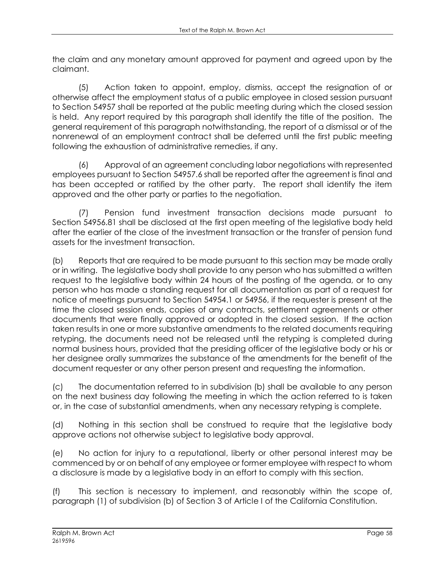the claim and any monetary amount approved for payment and agreed upon by the claimant.

(5) Action taken to appoint, employ, dismiss, accept the resignation of or otherwise affect the employment status of a public employee in closed session pursuant to Section 54957 shall be reported at the public meeting during which the closed session is held. Any report required by this paragraph shall identify the title of the position. The general requirement of this paragraph notwithstanding, the report of a dismissal or of the nonrenewal of an employment contract shall be deferred until the first public meeting following the exhaustion of administrative remedies, if any.

(6) Approval of an agreement concluding labor negotiations with represented employees pursuant to Section 54957.6 shall be reported after the agreement is final and has been accepted or ratified by the other party. The report shall identify the item approved and the other party or parties to the negotiation.

(7) Pension fund investment transaction decisions made pursuant to Section 54956.81 shall be disclosed at the first open meeting of the legislative body held after the earlier of the close of the investment transaction or the transfer of pension fund assets for the investment transaction.

(b) Reports that are required to be made pursuant to this section may be made orally or in writing. The legislative body shall provide to any person who has submitted a written request to the legislative body within 24 hours of the posting of the agenda, or to any person who has made a standing request for all documentation as part of a request for notice of meetings pursuant to Section 54954.1 or 54956, if the requester is present at the time the closed session ends, copies of any contracts, settlement agreements or other documents that were finally approved or adopted in the closed session. If the action taken results in one or more substantive amendments to the related documents requiring retyping, the documents need not be released until the retyping is completed during normal business hours, provided that the presiding officer of the legislative body or his or her designee orally summarizes the substance of the amendments for the benefit of the document requester or any other person present and requesting the information.

(c) The documentation referred to in subdivision (b) shall be available to any person on the next business day following the meeting in which the action referred to is taken or, in the case of substantial amendments, when any necessary retyping is complete.

(d) Nothing in this section shall be construed to require that the legislative body approve actions not otherwise subject to legislative body approval.

(e) No action for injury to a reputational, liberty or other personal interest may be commenced by or on behalf of any employee or former employee with respect to whom a disclosure is made by a legislative body in an effort to comply with this section.

(f) This section is necessary to implement, and reasonably within the scope of, paragraph (1) of subdivision (b) of Section 3 of Article I of the California Constitution.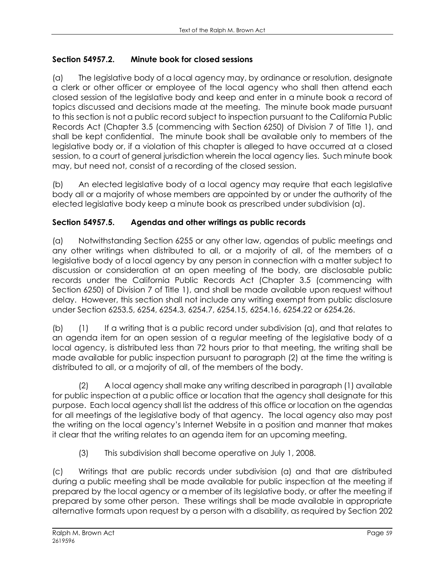## **Section 54957.2. Minute book for closed sessions**

(a) The legislative body of a local agency may, by ordinance or resolution, designate a clerk or other officer or employee of the local agency who shall then attend each closed session of the legislative body and keep and enter in a minute book a record of topics discussed and decisions made at the meeting. The minute book made pursuant to this section is not a public record subject to inspection pursuant to the California Public Records Act (Chapter 3.5 (commencing with Section 6250) of Division 7 of Title 1), and shall be kept confidential. The minute book shall be available only to members of the legislative body or, if a violation of this chapter is alleged to have occurred at a closed session, to a court of general jurisdiction wherein the local agency lies. Such minute book may, but need not, consist of a recording of the closed session.

(b) An elected legislative body of a local agency may require that each legislative body all or a majority of whose members are appointed by or under the authority of the elected legislative body keep a minute book as prescribed under subdivision (a).

## **Section 54957.5. Agendas and other writings as public records**

(a) Notwithstanding Section 6255 or any other law, agendas of public meetings and any other writings when distributed to all, or a majority of all, of the members of a legislative body of a local agency by any person in connection with a matter subject to discussion or consideration at an open meeting of the body, are disclosable public records under the California Public Records Act (Chapter 3.5 (commencing with Section 6250) of Division 7 of Title 1), and shall be made available upon request without delay. However, this section shall not include any writing exempt from public disclosure under Section 6253.5, 6254, 6254.3, 6254.7, 6254.15, 6254.16, 6254.22 or 6254.26.

(b) (1) If a writing that is a public record under subdivision (a), and that relates to an agenda item for an open session of a regular meeting of the legislative body of a local agency, is distributed less than 72 hours prior to that meeting, the writing shall be made available for public inspection pursuant to paragraph (2) at the time the writing is distributed to all, or a majority of all, of the members of the body.

(2) A local agency shall make any writing described in paragraph (1) available for public inspection at a public office or location that the agency shall designate for this purpose. Each local agency shall list the address of this office or location on the agendas for all meetings of the legislative body of that agency. The local agency also may post the writing on the local agency's Internet Website in a position and manner that makes it clear that the writing relates to an agenda item for an upcoming meeting.

(3) This subdivision shall become operative on July 1, 2008.

(c) Writings that are public records under subdivision (a) and that are distributed during a public meeting shall be made available for public inspection at the meeting if prepared by the local agency or a member of its legislative body, or after the meeting if prepared by some other person. These writings shall be made available in appropriate alternative formats upon request by a person with a disability, as required by Section 202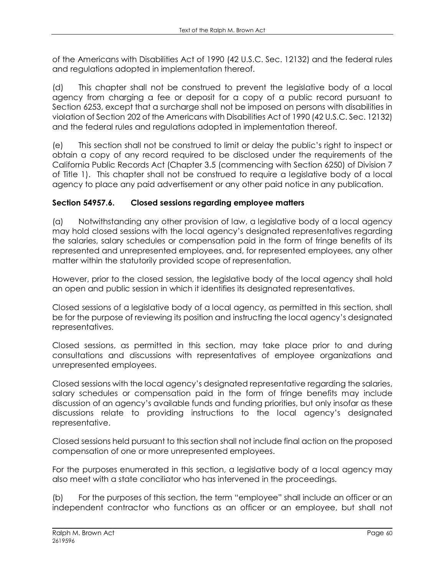of the Americans with Disabilities Act of 1990 (42 U.S.C. Sec. 12132) and the federal rules and regulations adopted in implementation thereof.

(d) This chapter shall not be construed to prevent the legislative body of a local agency from charging a fee or deposit for a copy of a public record pursuant to Section 6253, except that a surcharge shall not be imposed on persons with disabilities in violation of Section 202 of the Americans with Disabilities Act of 1990 (42 U.S.C. Sec. 12132) and the federal rules and regulations adopted in implementation thereof.

(e) This section shall not be construed to limit or delay the public's right to inspect or obtain a copy of any record required to be disclosed under the requirements of the California Public Records Act (Chapter 3.5 (commencing with Section 6250) of Division 7 of Title 1). This chapter shall not be construed to require a legislative body of a local agency to place any paid advertisement or any other paid notice in any publication.

# **Section 54957.6. Closed sessions regarding employee matters**

(a) Notwithstanding any other provision of law, a legislative body of a local agency may hold closed sessions with the local agency's designated representatives regarding the salaries, salary schedules or compensation paid in the form of fringe benefits of its represented and unrepresented employees, and, for represented employees, any other matter within the statutorily provided scope of representation.

However, prior to the closed session, the legislative body of the local agency shall hold an open and public session in which it identifies its designated representatives.

Closed sessions of a legislative body of a local agency, as permitted in this section, shall be for the purpose of reviewing its position and instructing the local agency's designated representatives.

Closed sessions, as permitted in this section, may take place prior to and during consultations and discussions with representatives of employee organizations and unrepresented employees.

Closed sessions with the local agency's designated representative regarding the salaries, salary schedules or compensation paid in the form of fringe benefits may include discussion of an agency's available funds and funding priorities, but only insofar as these discussions relate to providing instructions to the local agency's designated representative.

Closed sessions held pursuant to this section shall not include final action on the proposed compensation of one or more unrepresented employees.

For the purposes enumerated in this section, a legislative body of a local agency may also meet with a state conciliator who has intervened in the proceedings.

(b) For the purposes of this section, the term "employee" shall include an officer or an independent contractor who functions as an officer or an employee, but shall not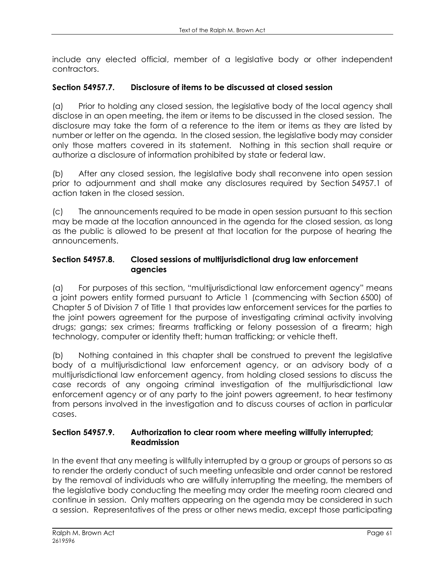include any elected official, member of a legislative body or other independent contractors.

## **Section 54957.7. Disclosure of items to be discussed at closed session**

(a) Prior to holding any closed session, the legislative body of the local agency shall disclose in an open meeting, the item or items to be discussed in the closed session. The disclosure may take the form of a reference to the item or items as they are listed by number or letter on the agenda. In the closed session, the legislative body may consider only those matters covered in its statement. Nothing in this section shall require or authorize a disclosure of information prohibited by state or federal law.

(b) After any closed session, the legislative body shall reconvene into open session prior to adjournment and shall make any disclosures required by Section 54957.1 of action taken in the closed session.

(c) The announcements required to be made in open session pursuant to this section may be made at the location announced in the agenda for the closed session, as long as the public is allowed to be present at that location for the purpose of hearing the announcements.

### **Section 54957.8. Closed sessions of multijurisdictional drug law enforcement agencies**

(a) For purposes of this section, "multijurisdictional law enforcement agency" means a joint powers entity formed pursuant to Article 1 (commencing with Section 6500) of Chapter 5 of Division 7 of Title 1 that provides law enforcement services for the parties to the joint powers agreement for the purpose of investigating criminal activity involving drugs; gangs; sex crimes; firearms trafficking or felony possession of a firearm; high technology, computer or identity theft; human trafficking; or vehicle theft.

(b) Nothing contained in this chapter shall be construed to prevent the legislative body of a multijurisdictional law enforcement agency, or an advisory body of a multijurisdictional law enforcement agency, from holding closed sessions to discuss the case records of any ongoing criminal investigation of the multijurisdictional law enforcement agency or of any party to the joint powers agreement, to hear testimony from persons involved in the investigation and to discuss courses of action in particular cases.

## **Section 54957.9. Authorization to clear room where meeting willfully interrupted; Readmission**

In the event that any meeting is willfully interrupted by a group or groups of persons so as to render the orderly conduct of such meeting unfeasible and order cannot be restored by the removal of individuals who are willfully interrupting the meeting, the members of the legislative body conducting the meeting may order the meeting room cleared and continue in session. Only matters appearing on the agenda may be considered in such a session. Representatives of the press or other news media, except those participating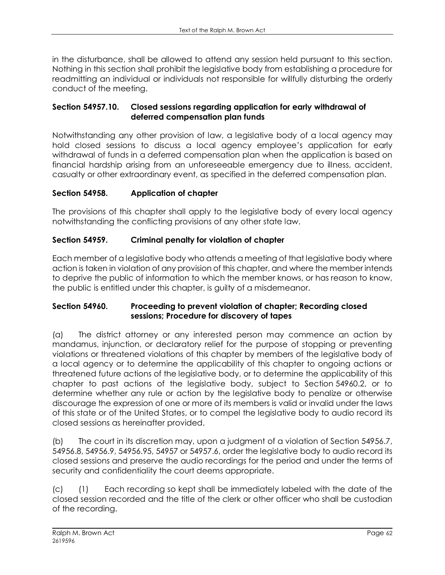in the disturbance, shall be allowed to attend any session held pursuant to this section. Nothing in this section shall prohibit the legislative body from establishing a procedure for readmitting an individual or individuals not responsible for willfully disturbing the orderly conduct of the meeting.

### **Section 54957.10. Closed sessions regarding application for early withdrawal of deferred compensation plan funds**

Notwithstanding any other provision of law, a legislative body of a local agency may hold closed sessions to discuss a local agency employee's application for early withdrawal of funds in a deferred compensation plan when the application is based on financial hardship arising from an unforeseeable emergency due to illness, accident, casualty or other extraordinary event, as specified in the deferred compensation plan.

# **Section 54958. Application of chapter**

The provisions of this chapter shall apply to the legislative body of every local agency notwithstanding the conflicting provisions of any other state law.

## **Section 54959. Criminal penalty for violation of chapter**

Each member of a legislative body who attends a meeting of that legislative body where action is taken in violation of any provision of this chapter, and where the member intends to deprive the public of information to which the member knows, or has reason to know, the public is entitled under this chapter, is guilty of a misdemeanor.

### **Section 54960. Proceeding to prevent violation of chapter; Recording closed sessions; Procedure for discovery of tapes**

(a) The district attorney or any interested person may commence an action by mandamus, injunction, or declaratory relief for the purpose of stopping or preventing violations or threatened violations of this chapter by members of the legislative body of a local agency or to determine the applicability of this chapter to ongoing actions or threatened future actions of the legislative body, or to determine the applicability of this chapter to past actions of the legislative body, subject to Section 54960.2, or to determine whether any rule or action by the legislative body to penalize or otherwise discourage the expression of one or more of its members is valid or invalid under the laws of this state or of the United States, or to compel the legislative body to audio record its closed sessions as hereinafter provided.

(b) The court in its discretion may, upon a judgment of a violation of Section 54956.7, 54956.8, 54956.9, 54956.95, 54957 or 54957.6, order the legislative body to audio record its closed sessions and preserve the audio recordings for the period and under the terms of security and confidentiality the court deems appropriate.

(c) (1) Each recording so kept shall be immediately labeled with the date of the closed session recorded and the title of the clerk or other officer who shall be custodian of the recording.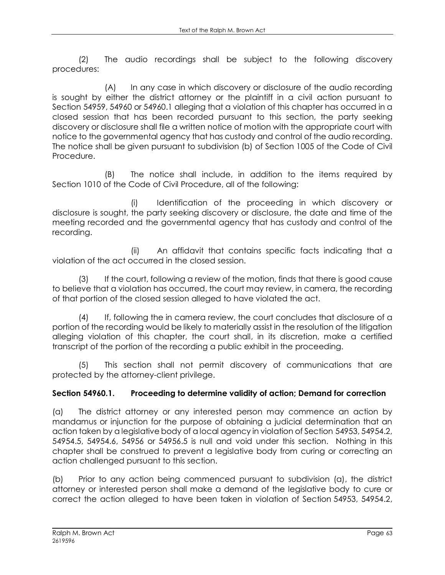(2) The audio recordings shall be subject to the following discovery procedures:

(A) In any case in which discovery or disclosure of the audio recording is sought by either the district attorney or the plaintiff in a civil action pursuant to Section 54959, 54960 or 54960.1 alleging that a violation of this chapter has occurred in a closed session that has been recorded pursuant to this section, the party seeking discovery or disclosure shall file a written notice of motion with the appropriate court with notice to the governmental agency that has custody and control of the audio recording. The notice shall be given pursuant to subdivision (b) of Section 1005 of the Code of Civil Procedure.

(B) The notice shall include, in addition to the items required by Section 1010 of the Code of Civil Procedure, all of the following:

(i) Identification of the proceeding in which discovery or disclosure is sought, the party seeking discovery or disclosure, the date and time of the meeting recorded and the governmental agency that has custody and control of the recording.

(ii) An affidavit that contains specific facts indicating that a violation of the act occurred in the closed session.

(3) If the court, following a review of the motion, finds that there is good cause to believe that a violation has occurred, the court may review, in camera, the recording of that portion of the closed session alleged to have violated the act.

(4) If, following the in camera review, the court concludes that disclosure of a portion of the recording would be likely to materially assist in the resolution of the litigation alleging violation of this chapter, the court shall, in its discretion, make a certified transcript of the portion of the recording a public exhibit in the proceeding.

(5) This section shall not permit discovery of communications that are protected by the attorney-client privilege.

# **Section 54960.1. Proceeding to determine validity of action; Demand for correction**

(a) The district attorney or any interested person may commence an action by mandamus or injunction for the purpose of obtaining a judicial determination that an action taken by a legislative body of a local agency in violation of Section 54953, 54954.2, 54954.5, 54954.6, 54956 or 54956.5 is null and void under this section. Nothing in this chapter shall be construed to prevent a legislative body from curing or correcting an action challenged pursuant to this section.

(b) Prior to any action being commenced pursuant to subdivision (a), the district attorney or interested person shall make a demand of the legislative body to cure or correct the action alleged to have been taken in violation of Section 54953, 54954.2,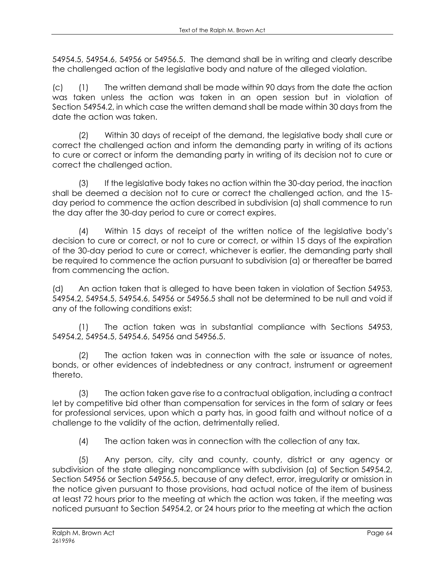54954.5, 54954.6, 54956 or 54956.5. The demand shall be in writing and clearly describe the challenged action of the legislative body and nature of the alleged violation.

(c) (1) The written demand shall be made within 90 days from the date the action was taken unless the action was taken in an open session but in violation of Section 54954.2, in which case the written demand shall be made within 30 days from the date the action was taken.

(2) Within 30 days of receipt of the demand, the legislative body shall cure or correct the challenged action and inform the demanding party in writing of its actions to cure or correct or inform the demanding party in writing of its decision not to cure or correct the challenged action.

(3) If the legislative body takes no action within the 30-day period, the inaction shall be deemed a decision not to cure or correct the challenged action, and the 15 day period to commence the action described in subdivision (a) shall commence to run the day after the 30-day period to cure or correct expires.

(4) Within 15 days of receipt of the written notice of the legislative body's decision to cure or correct, or not to cure or correct, or within 15 days of the expiration of the 30-day period to cure or correct, whichever is earlier, the demanding party shall be required to commence the action pursuant to subdivision (a) or thereafter be barred from commencing the action.

(d) An action taken that is alleged to have been taken in violation of Section 54953, 54954.2, 54954.5, 54954.6, 54956 or 54956.5 shall not be determined to be null and void if any of the following conditions exist:

(1) The action taken was in substantial compliance with Sections 54953, 54954.2, 54954.5, 54954.6, 54956 and 54956.5.

(2) The action taken was in connection with the sale or issuance of notes, bonds, or other evidences of indebtedness or any contract, instrument or agreement thereto.

(3) The action taken gave rise to a contractual obligation, including a contract let by competitive bid other than compensation for services in the form of salary or fees for professional services, upon which a party has, in good faith and without notice of a challenge to the validity of the action, detrimentally relied.

(4) The action taken was in connection with the collection of any tax.

(5) Any person, city, city and county, county, district or any agency or subdivision of the state alleging noncompliance with subdivision (a) of Section 54954.2, Section 54956 or Section 54956.5, because of any defect, error, irregularity or omission in the notice given pursuant to those provisions, had actual notice of the item of business at least 72 hours prior to the meeting at which the action was taken, if the meeting was noticed pursuant to Section 54954.2, or 24 hours prior to the meeting at which the action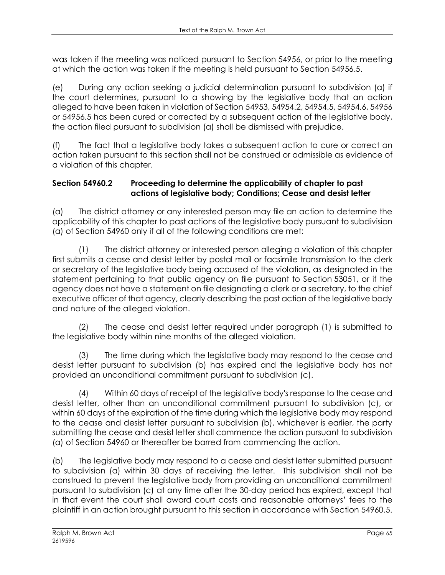was taken if the meeting was noticed pursuant to Section 54956, or prior to the meeting at which the action was taken if the meeting is held pursuant to Section 54956.5.

(e) During any action seeking a judicial determination pursuant to subdivision (a) if the court determines, pursuant to a showing by the legislative body that an action alleged to have been taken in violation of Section 54953, 54954.2, 54954.5, 54954.6, 54956 or 54956.5 has been cured or corrected by a subsequent action of the legislative body, the action filed pursuant to subdivision (a) shall be dismissed with prejudice.

(f) The fact that a legislative body takes a subsequent action to cure or correct an action taken pursuant to this section shall not be construed or admissible as evidence of a violation of this chapter.

## **Section 54960.2 Proceeding to determine the applicability of chapter to past actions of legislative body; Conditions; Cease and desist letter**

(a) The district attorney or any interested person may file an action to determine the applicability of this chapter to past actions of the legislative body pursuant to subdivision (a) of Section 54960 only if all of the following conditions are met:

(1) The district attorney or interested person alleging a violation of this chapter first submits a cease and desist letter by postal mail or facsimile transmission to the clerk or secretary of the legislative body being accused of the violation, as designated in the statement pertaining to that public agency on file pursuant to Section 53051, or if the agency does not have a statement on file designating a clerk or a secretary, to the chief executive officer of that agency, clearly describing the past action of the legislative body and nature of the alleged violation.

(2) The cease and desist letter required under paragraph (1) is submitted to the legislative body within nine months of the alleged violation.

(3) The time during which the legislative body may respond to the cease and desist letter pursuant to subdivision (b) has expired and the legislative body has not provided an unconditional commitment pursuant to subdivision (c).

(4) Within 60 days of receipt of the legislative body's response to the cease and desist letter, other than an unconditional commitment pursuant to subdivision (c), or within 60 days of the expiration of the time during which the legislative body may respond to the cease and desist letter pursuant to subdivision (b), whichever is earlier, the party submitting the cease and desist letter shall commence the action pursuant to subdivision (a) of Section 54960 or thereafter be barred from commencing the action.

(b) The legislative body may respond to a cease and desist letter submitted pursuant to subdivision (a) within 30 days of receiving the letter. This subdivision shall not be construed to prevent the legislative body from providing an unconditional commitment pursuant to subdivision (c) at any time after the 30-day period has expired, except that in that event the court shall award court costs and reasonable attorneys' fees to the plaintiff in an action brought pursuant to this section in accordance with Section 54960.5.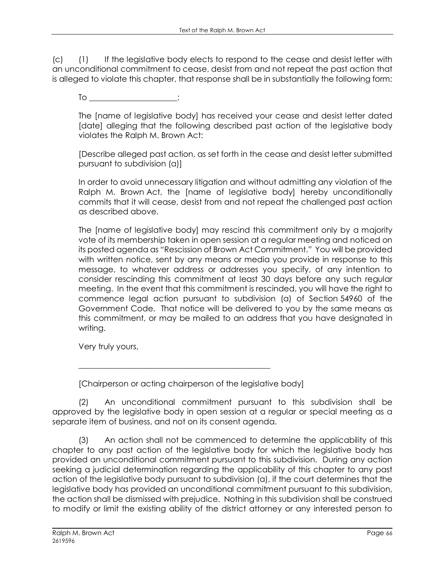(c) (1) If the legislative body elects to respond to the cease and desist letter with an unconditional commitment to cease, desist from and not repeat the past action that is alleged to violate this chapter, that response shall be in substantially the following form:

To  $\hphantom{a}$ 

The [name of legislative body] has received your cease and desist letter dated [date] alleging that the following described past action of the legislative body violates the Ralph M. Brown Act:

[Describe alleged past action, as set forth in the cease and desist letter submitted pursuant to subdivision (a)]

In order to avoid unnecessary litigation and without admitting any violation of the Ralph M. Brown Act, the [name of legislative body] hereby unconditionally commits that it will cease, desist from and not repeat the challenged past action as described above.

The [name of legislative body] may rescind this commitment only by a majority vote of its membership taken in open session at a regular meeting and noticed on its posted agenda as "Rescission of Brown Act Commitment." You will be provided with written notice, sent by any means or media you provide in response to this message, to whatever address or addresses you specify, of any intention to consider rescinding this commitment at least 30 days before any such regular meeting. In the event that this commitment is rescinded, you will have the right to commence legal action pursuant to subdivision (a) of Section 54960 of the Government Code. That notice will be delivered to you by the same means as this commitment, or may be mailed to an address that you have designated in writing.

Very truly yours,

[Chairperson or acting chairperson of the legislative body]

\_\_\_\_\_\_\_\_\_\_\_\_\_\_\_\_\_\_\_\_\_\_\_\_\_\_\_\_\_\_\_\_\_\_\_\_\_\_\_\_\_\_\_\_\_\_\_\_

(2) An unconditional commitment pursuant to this subdivision shall be approved by the legislative body in open session at a regular or special meeting as a separate item of business, and not on its consent agenda.

(3) An action shall not be commenced to determine the applicability of this chapter to any past action of the legislative body for which the legislative body has provided an unconditional commitment pursuant to this subdivision. During any action seeking a judicial determination regarding the applicability of this chapter to any past action of the legislative body pursuant to subdivision (a), if the court determines that the legislative body has provided an unconditional commitment pursuant to this subdivision, the action shall be dismissed with prejudice. Nothing in this subdivision shall be construed to modify or limit the existing ability of the district attorney or any interested person to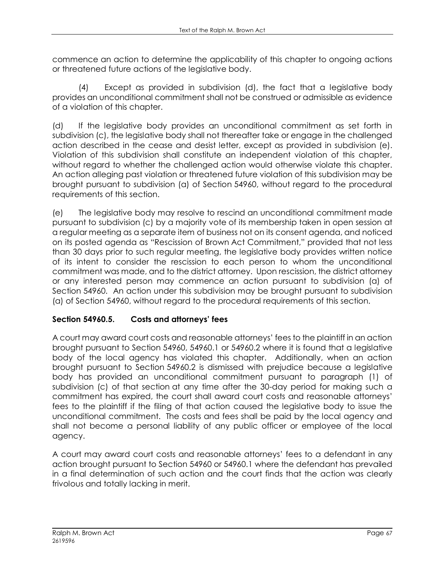commence an action to determine the applicability of this chapter to ongoing actions or threatened future actions of the legislative body.

(4) Except as provided in subdivision (d), the fact that a legislative body provides an unconditional commitment shall not be construed or admissible as evidence of a violation of this chapter.

(d) If the legislative body provides an unconditional commitment as set forth in subdivision (c), the legislative body shall not thereafter take or engage in the challenged action described in the cease and desist letter, except as provided in subdivision (e). Violation of this subdivision shall constitute an independent violation of this chapter, without regard to whether the challenged action would otherwise violate this chapter. An action alleging past violation or threatened future violation of this subdivision may be brought pursuant to subdivision (a) of Section 54960, without regard to the procedural requirements of this section.

(e) The legislative body may resolve to rescind an unconditional commitment made pursuant to subdivision (c) by a majority vote of its membership taken in open session at a regular meeting as a separate item of business not on its consent agenda, and noticed on its posted agenda as "Rescission of Brown Act Commitment," provided that not less than 30 days prior to such regular meeting, the legislative body provides written notice of its intent to consider the rescission to each person to whom the unconditional commitment was made, and to the district attorney. Upon rescission, the district attorney or any interested person may commence an action pursuant to subdivision (a) of Section 54960. An action under this subdivision may be brought pursuant to subdivision (a) of Section 54960, without regard to the procedural requirements of this section.

# **Section 54960.5. Costs and attorneys' fees**

A court may award court costs and reasonable attorneys' fees to the plaintiff in an action brought pursuant to Section 54960, 54960.1 or 54960.2 where it is found that a legislative body of the local agency has violated this chapter. Additionally, when an action brought pursuant to Section 54960.2 is dismissed with prejudice because a legislative body has provided an unconditional commitment pursuant to paragraph (1) of subdivision (c) of that section at any time after the 30-day period for making such a commitment has expired, the court shall award court costs and reasonable attorneys' fees to the plaintiff if the filing of that action caused the legislative body to issue the unconditional commitment. The costs and fees shall be paid by the local agency and shall not become a personal liability of any public officer or employee of the local agency.

A court may award court costs and reasonable attorneys' fees to a defendant in any action brought pursuant to Section 54960 or 54960.1 where the defendant has prevailed in a final determination of such action and the court finds that the action was clearly frivolous and totally lacking in merit.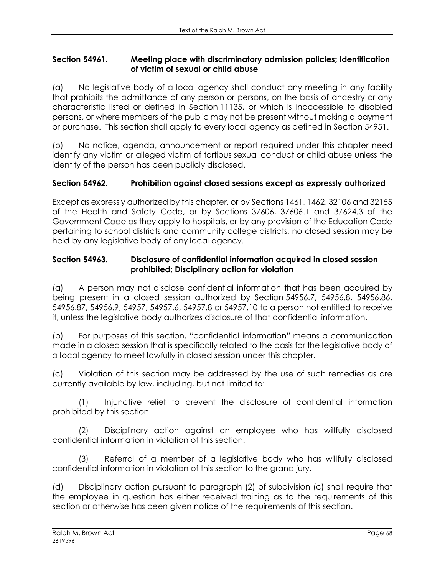### **Section 54961. Meeting place with discriminatory admission policies; Identification of victim of sexual or child abuse**

(a) No legislative body of a local agency shall conduct any meeting in any facility that prohibits the admittance of any person or persons, on the basis of ancestry or any characteristic listed or defined in Section 11135, or which is inaccessible to disabled persons, or where members of the public may not be present without making a payment or purchase. This section shall apply to every local agency as defined in Section 54951.

(b) No notice, agenda, announcement or report required under this chapter need identify any victim or alleged victim of tortious sexual conduct or child abuse unless the identity of the person has been publicly disclosed.

## **Section 54962. Prohibition against closed sessions except as expressly authorized**

Except as expressly authorized by this chapter, or by Sections 1461, 1462, 32106 and 32155 of the Health and Safety Code, or by Sections 37606, 37606.1 and 37624.3 of the Government Code as they apply to hospitals, or by any provision of the Education Code pertaining to school districts and community college districts, no closed session may be held by any legislative body of any local agency.

### **Section 54963. Disclosure of confidential information acquired in closed session prohibited; Disciplinary action for violation**

(a) A person may not disclose confidential information that has been acquired by being present in a closed session authorized by Section 54956.7, 54956.8, 54956.86, 54956.87, 54956.9, 54957, 54957.6, 54957.8 or 54957.10 to a person not entitled to receive it, unless the legislative body authorizes disclosure of that confidential information.

(b) For purposes of this section, "confidential information" means a communication made in a closed session that is specifically related to the basis for the legislative body of a local agency to meet lawfully in closed session under this chapter.

(c) Violation of this section may be addressed by the use of such remedies as are currently available by law, including, but not limited to:

(1) Injunctive relief to prevent the disclosure of confidential information prohibited by this section.

(2) Disciplinary action against an employee who has willfully disclosed confidential information in violation of this section.

(3) Referral of a member of a legislative body who has willfully disclosed confidential information in violation of this section to the grand jury.

(d) Disciplinary action pursuant to paragraph (2) of subdivision (c) shall require that the employee in question has either received training as to the requirements of this section or otherwise has been given notice of the requirements of this section.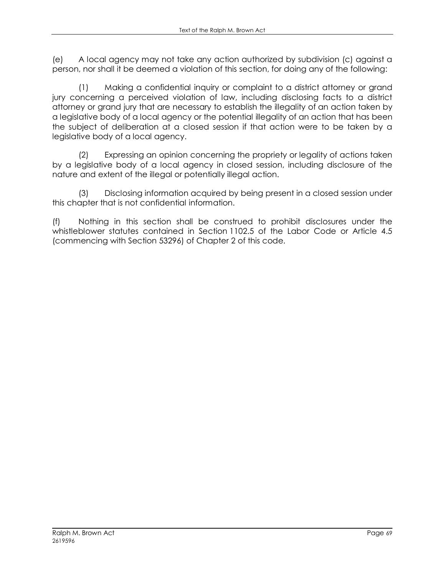(e) A local agency may not take any action authorized by subdivision (c) against a person, nor shall it be deemed a violation of this section, for doing any of the following:

(1) Making a confidential inquiry or complaint to a district attorney or grand jury concerning a perceived violation of law, including disclosing facts to a district attorney or grand jury that are necessary to establish the illegality of an action taken by a legislative body of a local agency or the potential illegality of an action that has been the subject of deliberation at a closed session if that action were to be taken by a legislative body of a local agency.

(2) Expressing an opinion concerning the propriety or legality of actions taken by a legislative body of a local agency in closed session, including disclosure of the nature and extent of the illegal or potentially illegal action.

(3) Disclosing information acquired by being present in a closed session under this chapter that is not confidential information.

(f) Nothing in this section shall be construed to prohibit disclosures under the whistleblower statutes contained in Section 1102.5 of the Labor Code or Article 4.5 (commencing with Section 53296) of Chapter 2 of this code.